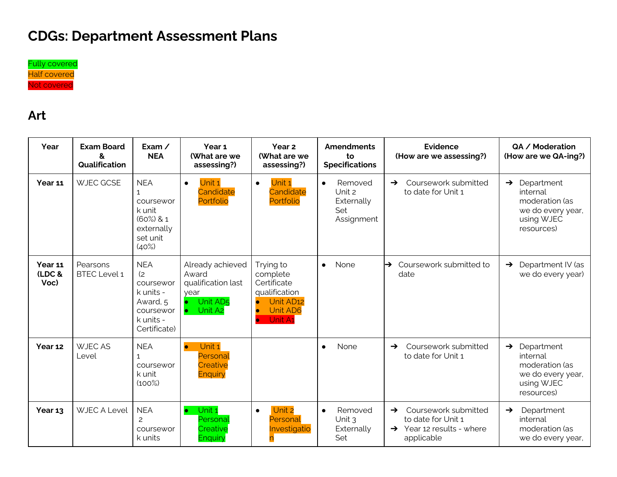# **CDGs: Department Assessment Plans**



#### **Art**

| Year                      | <b>Exam Board</b><br>&<br>Qualification | Exam $\angle$<br><b>NEA</b>                                                                       | Year 1<br>(What are we<br>assessing?)                                                                               | Year <sub>2</sub><br>(What are we<br>assessing?)                                                                                        | <b>Amendments</b><br>to<br><b>Specifications</b>                  | <b>Evidence</b><br>(How are we assessing?)                                                                         | QA / Moderation<br>(How are we QA-ing?)                                                                    |
|---------------------------|-----------------------------------------|---------------------------------------------------------------------------------------------------|---------------------------------------------------------------------------------------------------------------------|-----------------------------------------------------------------------------------------------------------------------------------------|-------------------------------------------------------------------|--------------------------------------------------------------------------------------------------------------------|------------------------------------------------------------------------------------------------------------|
| Year 11                   | WJEC GCSE                               | <b>NEA</b><br>coursewor<br>k unit<br>$(60\%)$ & 1<br>externally<br>set unit<br>(40%)              | Unit 1<br>$\bullet$<br>Candidate<br>Portfolio                                                                       | Unit 1<br>$\bullet$<br>Candidate<br>Portfolio                                                                                           | Removed<br>$\bullet$<br>Unit 2<br>Externally<br>Set<br>Assignment | Coursework submitted<br>$\rightarrow$<br>to date for Unit 1                                                        | $\rightarrow$ Department<br>internal<br>moderation (as<br>we do every year,<br>using WJEC<br>resources)    |
| Year 11<br>(LDC &<br>Voc) | Pearsons<br><b>BTEC Level 1</b>         | <b>NEA</b><br>(2)<br>coursewor<br>k units -<br>Award, 5<br>coursewor<br>k units -<br>Certificate) | Already achieved<br>Award<br>qualification last<br>vear<br>Unit AD <sub>5</sub><br>Unit A <sub>2</sub><br>$\bullet$ | Trying to<br>complete<br>Certificate<br>qualification<br>Unit AD12<br>$\bullet$<br><b>Unit AD6</b><br>$\bullet$<br>Unit A1<br>$\bullet$ | None<br>$\bullet$                                                 | Coursework submitted to<br>$\rightarrow$<br>date                                                                   | Department IV (as<br>$\rightarrow$<br>we do every year)                                                    |
| Year 12                   | <b>WJEC AS</b><br>Level                 | <b>NEA</b><br>coursewor<br>k unit<br>(100%)                                                       | Unit 1<br>$\bullet$<br>Personal<br>Creative<br><b>Enquiry</b>                                                       |                                                                                                                                         | None<br>$\bullet$                                                 | Coursework submitted<br>$\rightarrow$<br>to date for Unit 1                                                        | Department<br>$\rightarrow$<br>internal<br>moderation (as<br>we do every year,<br>using WJEC<br>resources) |
| Year 13                   | <b>WJEC A Level</b>                     | <b>NEA</b><br>2<br>coursewor<br>k units                                                           | Unit 1<br>Personal<br>Creative<br><b>Enquiry</b>                                                                    | Unit 2<br>$\bullet$<br>Personal<br>Investigatio                                                                                         | Removed<br>$\bullet$<br>Unit $3$<br>Externally<br>Set             | Coursework submitted<br>$\rightarrow$<br>to date for Unit 1<br>$\rightarrow$ Year 12 results - where<br>applicable | Department<br>$\rightarrow$<br>internal<br>moderation (as<br>we do every year,                             |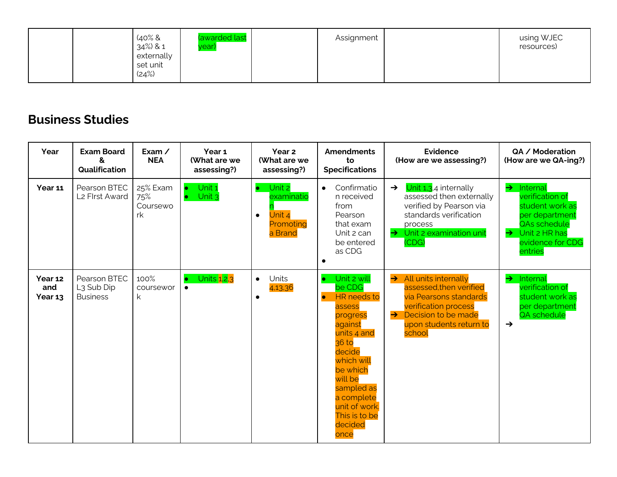|  | $40\%$ &<br>34%) & 1<br>externally<br>set unit<br>(24%) | (awarded last<br>year) | Assignment |  | using WJEC<br>resources) |
|--|---------------------------------------------------------|------------------------|------------|--|--------------------------|
|--|---------------------------------------------------------|------------------------|------------|--|--------------------------|

#### **Business Studies**

| Year                      | <b>Exam Board</b><br>&<br>Qualification                   | Exam $\angle$<br><b>NEA</b>       | Year 1<br>(What are we<br>assessing?) | Year 2<br>(What are we<br>assessing?)                                            | <b>Amendments</b><br>to<br><b>Specifications</b>                                                                                                                                                                                                               | Evidence<br>(How are we assessing?)                                                                                                                                                                    | QA / Moderation<br>(How are we QA-ing?)                                                                                                                            |
|---------------------------|-----------------------------------------------------------|-----------------------------------|---------------------------------------|----------------------------------------------------------------------------------|----------------------------------------------------------------------------------------------------------------------------------------------------------------------------------------------------------------------------------------------------------------|--------------------------------------------------------------------------------------------------------------------------------------------------------------------------------------------------------|--------------------------------------------------------------------------------------------------------------------------------------------------------------------|
| Year 11                   | Pearson BTEC<br>L2 Flrst Award                            | 25% Exam<br>75%<br>Coursewo<br>rk | Unit 1<br>Unit <sub>3</sub>           | Unit 2<br>$\bullet$<br>examinatio<br>Unit 4<br>$\bullet$<br>Promoting<br>a Brand | Confirmatio<br>$\bullet$<br>n received<br>from<br>Pearson<br>that exam<br>Unit 2 can<br>be entered<br>as CDG<br>$\bullet$                                                                                                                                      | Unit 1,3,4 internally<br>$\rightarrow$<br>assessed then externally<br>verified by Pearson via<br>standards verification<br>process<br>$\rightarrow$ Unit 2 examination unit<br>(CDG)                   | Internal<br>$\rightarrow$<br>verification of<br>student work as<br>per department<br>QAs schedule<br>Unit 2 HR has<br>$\rightarrow$<br>evidence for CDG<br>entries |
| Year 12<br>and<br>Year 13 | Pearson BTEC<br>L <sub>3</sub> Sub Dip<br><b>Business</b> | 100%<br>coursewor<br>k            | Units 1,2,3<br>$\bullet$              | Units<br>$\bullet$<br>4,13,36<br>$\bullet$                                       | Unit 2 will<br>$\bullet$<br>be CDG<br><b>HR</b> needs to<br>$\bullet$<br>assess<br>progress<br>against<br>units 4 and<br>36 to<br>decide<br>which will<br>be which<br>will be<br>sampled as<br>a complete<br>unit of work.<br>This is to be<br>decided<br>once | All units internally<br>$\rightarrow$<br>assessed, then verified<br>via Pearsons standards<br><b>verification process</b><br>$\rightarrow$<br>Decision to be made<br>upon students return to<br>school | Internal<br>$\rightarrow$<br>verification of<br>student work as<br>per department<br>QA schedule<br>$\rightarrow$                                                  |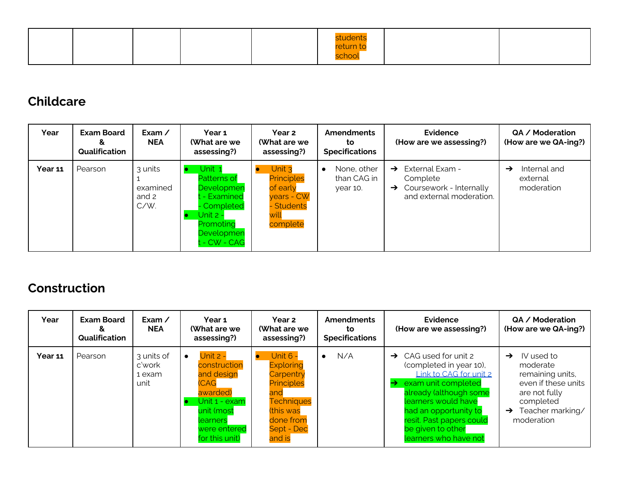|  |  | students                         |  |
|--|--|----------------------------------|--|
|  |  | <mark>return to</mark><br>school |  |

### **Childcare**

| Year           | <b>Exam Board</b><br>&<br>Qualification | Exam $\angle$<br><b>NEA</b>          | Year 1<br>(What are we<br>assessing?)                                                                                          | Year 2<br>(What are we<br>assessing?)                                                 | <b>Amendments</b><br>to<br><b>Specifications</b> | <b>Evidence</b><br>(How are we assessing?)                                                                           | QA / Moderation<br>(How are we QA-ing?)                 |
|----------------|-----------------------------------------|--------------------------------------|--------------------------------------------------------------------------------------------------------------------------------|---------------------------------------------------------------------------------------|--------------------------------------------------|----------------------------------------------------------------------------------------------------------------------|---------------------------------------------------------|
| <b>Year 11</b> | Pearson                                 | 3 units<br>examined<br>and 2<br>C/W. | Unit 1<br><b>Patterns of</b><br>Developmen<br>- Examined<br>- Completed<br>Unit 2 -<br>Promoting<br>Developmen<br>t - CW - CAG | Unit 3<br><b>Principles</b><br>of early<br>years - CW<br>Students<br>will<br>complete | None, other<br>than CAG in<br>vear 10.           | External Exam -<br>$\rightarrow$<br>Complete<br>Coursework - Internally<br>$\rightarrow$<br>and external moderation. | Internal and<br>$\rightarrow$<br>external<br>moderation |

### **Construction**

| Year    | <b>Exam Board</b><br>Qualification | Exam $\angle$<br><b>NEA</b>            | Year 1<br>(What are we<br>assessing?)                                                                                                                | Year 2<br>(What are we<br>assessing?)                                                                                                               | <b>Amendments</b><br>to<br><b>Specifications</b> | <b>Evidence</b><br>(How are we assessing?)                                                                                                                                                                                                                             | QA / Moderation<br>(How are we QA-ing?)                                                                                                                             |
|---------|------------------------------------|----------------------------------------|------------------------------------------------------------------------------------------------------------------------------------------------------|-----------------------------------------------------------------------------------------------------------------------------------------------------|--------------------------------------------------|------------------------------------------------------------------------------------------------------------------------------------------------------------------------------------------------------------------------------------------------------------------------|---------------------------------------------------------------------------------------------------------------------------------------------------------------------|
| Year 11 | Pearson                            | 3 units of<br>c'work<br>1 exam<br>unit | <b>Unit 2 -</b><br>construction<br>and design<br><b>CAG</b><br>awarded)<br>Unit 1 - exam<br>unit (most<br>learners<br>were entered<br>for this unit) | <b>Unit 6 -</b><br><b>Exploring</b><br>Carpentry<br><b>Principles</b><br>and<br><b>Techniques</b><br>(this was<br>done from<br>Sept - Dec<br>and is | N/A                                              | $\rightarrow$ CAG used for unit 2<br>(completed in year 10),<br>Link to CAG for unit 2<br>exam unit completed<br>→<br>already (although some<br>learners would have<br>had an opportunity to<br>resit. Past papers could<br>be given to other<br>learners who have not | IV used to<br>$\rightarrow$<br>moderate<br>remaining units,<br>even if these units<br>are not fully<br>completed<br>Teacher marking/<br>$\rightarrow$<br>moderation |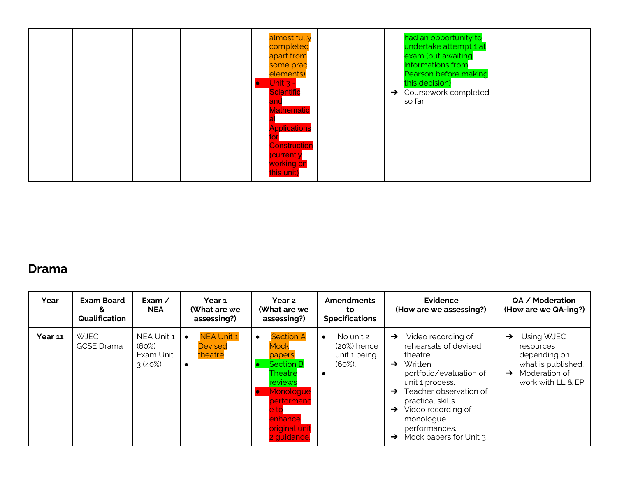|  | almost fully<br>completed<br>apart from<br>some prac<br>elements)<br>Unit $3 -$<br><b>Scientific</b><br>and<br><b>Mathematic</b><br><b>Applications</b><br><b>Construction</b><br>(currently<br>working on<br>this unit) | had an opportunity to<br>undertake attempt 1 at<br>exam (but awaiting<br>informations from<br>Pearson before making<br>this decision)<br>$\rightarrow$ Coursework completed<br>so far |
|--|--------------------------------------------------------------------------------------------------------------------------------------------------------------------------------------------------------------------------|---------------------------------------------------------------------------------------------------------------------------------------------------------------------------------------|
|--|--------------------------------------------------------------------------------------------------------------------------------------------------------------------------------------------------------------------------|---------------------------------------------------------------------------------------------------------------------------------------------------------------------------------------|

#### **Drama**

| Year    | <b>Exam Board</b><br>Qualification | Exam $\angle$<br><b>NEA</b>                   | Year 1<br>(What are we<br>assessing?)                                    | Year 2<br>(What are we<br>assessing?)                                                                                                                                    | <b>Amendments</b><br>to<br><b>Specifications</b>                  | <b>Evidence</b><br>(How are we assessing?)                                                                                                                                                                                                                                                                 | QA / Moderation<br>(How are we QA-ing?)                                                                                                |
|---------|------------------------------------|-----------------------------------------------|--------------------------------------------------------------------------|--------------------------------------------------------------------------------------------------------------------------------------------------------------------------|-------------------------------------------------------------------|------------------------------------------------------------------------------------------------------------------------------------------------------------------------------------------------------------------------------------------------------------------------------------------------------------|----------------------------------------------------------------------------------------------------------------------------------------|
| Year 11 | <b>WJEC</b><br><b>GCSE</b> Drama   | NEA Unit 1<br>$(60\%)$<br>Exam Unit<br>3(40%) | <b>NEA Unit 1</b><br>$\bullet$<br><b>Devised</b><br>theatre<br>$\bullet$ | <b>Section A</b><br>$\bullet$<br>Mock<br>papers<br><b>Section B</b><br>Theatre<br>reviews<br>Monoloque<br>performanc<br>e tol<br>enhance<br>original unit<br>2 guidance. | No unit 2<br>$\bullet$<br>(20%) hence<br>unit 1 being<br>$(60\%)$ | Video recording of<br>$\rightarrow$<br>rehearsals of devised<br>theatre.<br>Written<br>$\rightarrow$<br>portfolio/evaluation of<br>unit 1 process.<br>Teacher observation of<br>→<br>practical skills.<br>Video recording of<br>$\rightarrow$<br>monologue<br>performances.<br>Mock papers for Unit 3<br>→ | Using WJEC<br>$\rightarrow$<br>resources<br>depending on<br>what is published.<br>Moderation of<br>$\rightarrow$<br>work with LL & EP. |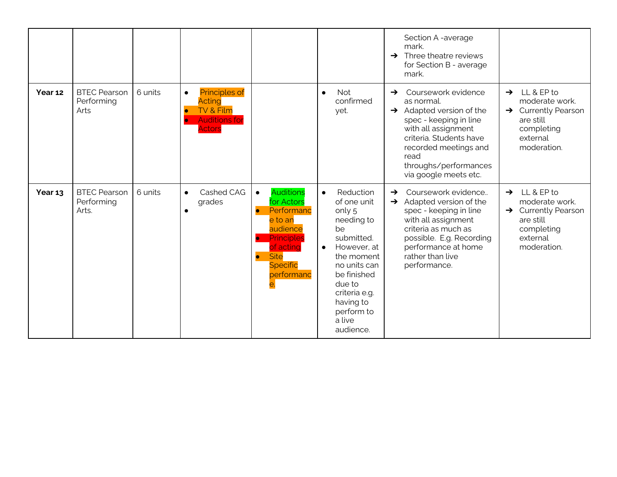|         |                                            |         |                                                                                                   |                                                                                                                                                                                                    |                                                                                                                                                                                                                                         | Section A -average<br>mark.<br>$\rightarrow$ Three theatre reviews<br>for Section B - average<br>mark.                                                                                                                                                    |                                                                                                                                        |
|---------|--------------------------------------------|---------|---------------------------------------------------------------------------------------------------|----------------------------------------------------------------------------------------------------------------------------------------------------------------------------------------------------|-----------------------------------------------------------------------------------------------------------------------------------------------------------------------------------------------------------------------------------------|-----------------------------------------------------------------------------------------------------------------------------------------------------------------------------------------------------------------------------------------------------------|----------------------------------------------------------------------------------------------------------------------------------------|
| Year 12 | <b>BTEC Pearson</b><br>Performing<br>Arts  | 6 units | <b>Principles of</b><br>$\bullet$<br>Acting<br>TV & Film<br><b>Auditions for</b><br><b>Actors</b> |                                                                                                                                                                                                    | <b>Not</b><br>$\bullet$<br>confirmed<br>yet.                                                                                                                                                                                            | Coursework evidence<br>$\rightarrow$<br>as normal.<br>$\rightarrow$ Adapted version of the<br>spec - keeping in line<br>with all assignment<br>criteria. Students have<br>recorded meetings and<br>read<br>throughs/performances<br>via google meets etc. | LL & EP to<br>$\rightarrow$<br>moderate work.<br>$\rightarrow$ Currently Pearson<br>are still<br>completing<br>external<br>moderation. |
| Year 13 | <b>BTEC Pearson</b><br>Performing<br>Arts. | 6 units | Cashed CAG<br>$\bullet$<br>grades                                                                 | <b>Auditions</b><br>$\bullet$<br>for Actors<br>Performanc<br>$\bullet$<br>e to an<br>audience<br>Principles<br>$\bullet$<br>of acting<br><b>Site</b><br>$\bullet$<br><b>Specific</b><br>performanc | Reduction<br>$\bullet$<br>of one unit<br>only 5<br>needing to<br>be<br>submitted.<br>However, at<br>$\bullet$<br>the moment<br>no units can<br>be finished<br>due to<br>criteria e.g.<br>having to<br>perform to<br>a live<br>audience. | Coursework evidence<br>$\rightarrow$<br>Adapted version of the<br>$\rightarrow$<br>spec - keeping in line<br>with all assignment<br>criteria as much as<br>possible. E.g. Recording<br>performance at home<br>rather than live<br>performance.            | $\rightarrow$ LL & EP to<br>moderate work.<br>$\rightarrow$ Currently Pearson<br>are still<br>completing<br>external<br>moderation.    |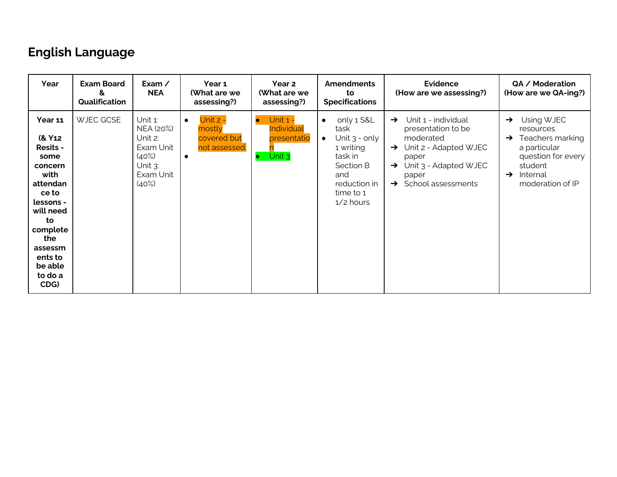# **English Language**

| Year                                                                                                                                                                                                    | <b>Exam Board</b><br>&<br>Qualification | Exam /<br><b>NEA</b>                                                                         | Year 1<br>(What are we<br>assessing?)                                        | Year 2<br>(What are we<br>assessing?)                                                | <b>Amendments</b><br>to<br><b>Specifications</b>                                                                                                        | <b>Evidence</b><br>(How are we assessing?)                                                                                                                                                                  | QA / Moderation<br>(How are we QA-ing?)                                                                                                                                         |
|---------------------------------------------------------------------------------------------------------------------------------------------------------------------------------------------------------|-----------------------------------------|----------------------------------------------------------------------------------------------|------------------------------------------------------------------------------|--------------------------------------------------------------------------------------|---------------------------------------------------------------------------------------------------------------------------------------------------------|-------------------------------------------------------------------------------------------------------------------------------------------------------------------------------------------------------------|---------------------------------------------------------------------------------------------------------------------------------------------------------------------------------|
| Year 11<br>(& Y <sub>12</sub><br><b>Resits -</b><br>some<br>concern<br>with<br>attendan<br>ce to<br>lessons -<br>will need<br>to<br>complete<br>the<br>assessm<br>ents to<br>be able<br>to do a<br>CDG) | WJEC GCSE                               | Unit 1:<br>NEA (20%)<br>Unit 2:<br>Exam Unit<br>$(40\%)$<br>Unit $3$ :<br>Exam Unit<br>(40%) | Unit 2 -<br>$\bullet$<br>mostly<br>covered but<br>not assessed.<br>$\bullet$ | <b>Unit 1 -</b><br>$\bullet$<br><u>Individual</u><br>presentatio<br>$\bullet$ Unit 3 | only 1 S&L<br>$\bullet$<br>task<br>Unit $3 -$ only<br>$\bullet$<br>1 writing<br>task in<br>Section B<br>and<br>reduction in<br>time to 1<br>$1/2$ hours | Unit 1 - individual<br>$\rightarrow$<br>presentation to be<br>moderated<br>$\rightarrow$ Unit 2 - Adapted WJEC<br>paper<br>$\rightarrow$ Unit 3 - Adapted WJEC<br>paper<br>$\rightarrow$ School assessments | Using WJEC<br>$\rightarrow$<br>resources<br>Teachers marking<br>$\rightarrow$<br>a particular<br>question for every<br>student<br>Internal<br>$\rightarrow$<br>moderation of IP |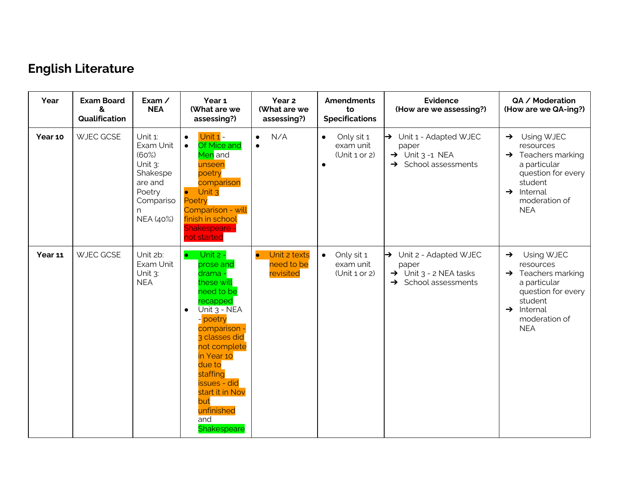# **English Literature**

| Year    | <b>Exam Board</b><br>&<br>Qualification | Exam /<br><b>NEA</b>                                                                                        | Year 1<br>(What are we<br>assessing?)                                                                                                                                                                                                                                                                      | Year 2<br>(What are we<br>assessing?)                | <b>Amendments</b><br>to<br><b>Specifications</b>                  | <b>Evidence</b><br>(How are we assessing?)                                                                                | QA / Moderation<br>(How are we QA-ing?)                                                                                                                                              |
|---------|-----------------------------------------|-------------------------------------------------------------------------------------------------------------|------------------------------------------------------------------------------------------------------------------------------------------------------------------------------------------------------------------------------------------------------------------------------------------------------------|------------------------------------------------------|-------------------------------------------------------------------|---------------------------------------------------------------------------------------------------------------------------|--------------------------------------------------------------------------------------------------------------------------------------------------------------------------------------|
| Year 10 | WJEC GCSE                               | Unit 1:<br>Exam Unit<br>(60%)<br>Unit $3$ :<br>Shakespe<br>are and<br>Poetry<br>Compariso<br>n<br>NEA (40%) | Unit 1 -<br>$\bullet$<br><b>Of Mice and</b><br>$\bullet$<br><mark>Men</mark> and<br>unseen<br>poetry<br>comparison<br>$\bullet$ Unit 3<br>Poetry<br>Comparison - will<br>finish in school<br><b>Shakespeare -</b><br>not started                                                                           | N/A<br>$\bullet$<br>$\bullet$                        | Only sit 1<br>$\bullet$<br>exam unit<br>Unit 1 or 2)<br>$\bullet$ | $\rightarrow$ Unit 1 - Adapted WJEC<br>paper<br>$\rightarrow$ Unit 3 -1 NEA<br>$\rightarrow$ School assessments           | Using WJEC<br>$\rightarrow$<br>resources<br>$\rightarrow$ Teachers marking<br>a particular<br>question for every<br>student<br>$\rightarrow$ Internal<br>moderation of<br><b>NEA</b> |
| Year 11 | WJEC GCSE                               | Unit 2b:<br>Exam Unit<br>Unit $3$ :<br><b>NEA</b>                                                           | Unit $2 -$<br>$\bullet$<br>prose and<br>drama -<br>these will<br>need to be<br>recapped<br>Unit 3 - NEA<br>$\bullet$<br>- poetry<br>comparison -<br>3 classes did<br>not complete<br>in Year 10<br>due to<br>staffing<br><b>issues</b> - did<br>start it in Nov<br>but<br>unfinished<br>and<br>Shakespeare | Unit 2 texts<br>$\bullet$<br>need to be<br>revisited | Only sit 1<br>$\bullet$<br>exam unit<br>(Unit 1 or 2)             | $\rightarrow$ Unit 2 - Adapted WJEC<br>paper<br>$\rightarrow$ Unit 3 - 2 NEA tasks<br>School assessments<br>$\rightarrow$ | Using WJEC<br>$\rightarrow$<br>resources<br>$\rightarrow$ Teachers marking<br>a particular<br>question for every<br>student<br>$\rightarrow$ Internal<br>moderation of<br><b>NEA</b> |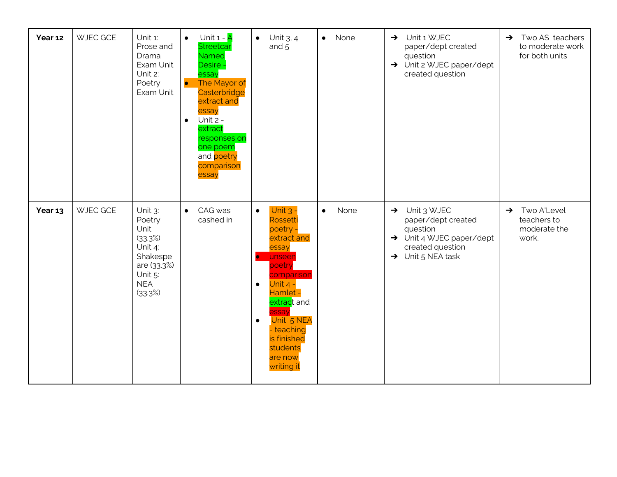| Year 12 | <b>WJEC GCE</b> | Unit 1:<br>Prose and<br>Drama<br>Exam Unit<br>Unit 2:<br>Poetry<br>Exam Unit                                   | Unit $1 - \overline{A}$<br>$\bullet$<br><b>Streetcar</b><br><b>Named</b><br>Desire -<br>essay<br>$\bullet$<br>The Mayor of<br>Casterbridge<br>extract and<br>essay<br>Unit 2 -<br>$\bullet$<br>extract<br>responses on<br>one poem<br>and poetry<br>comparison<br>essay | $\bullet$ Unit 3, 4<br>and 5                                                                                                                                                                                                                                                           | None<br>$\bullet$ | Unit 1 WJEC<br>$\rightarrow$<br>paper/dept created<br>question<br>$\rightarrow$ Unit 2 WJEC paper/dept<br>created question                               | Two AS teachers<br>$\rightarrow$<br>to moderate work<br>for both units |
|---------|-----------------|----------------------------------------------------------------------------------------------------------------|-------------------------------------------------------------------------------------------------------------------------------------------------------------------------------------------------------------------------------------------------------------------------|----------------------------------------------------------------------------------------------------------------------------------------------------------------------------------------------------------------------------------------------------------------------------------------|-------------------|----------------------------------------------------------------------------------------------------------------------------------------------------------|------------------------------------------------------------------------|
| Year 13 | <b>WJEC GCE</b> | Unit 3:<br>Poetry<br>Unit<br>(33.3%)<br>Unit 4:<br>Shakespe<br>are (33.3%)<br>Unit 5:<br><b>NEA</b><br>(33.3%) | CAG was<br>$\bullet$<br>cashed in                                                                                                                                                                                                                                       | Unit $3 -$<br>$\bullet$<br>Rossetti<br>poetry<br>extract and<br>essay<br>unseen<br>$\bullet$<br>poetry<br>comparison<br>Unit $4 -$<br>$\bullet$<br>Hamlet -<br>extract and<br><b>SSay</b><br>Unit 5 NEA<br>$\bullet$<br>- teaching<br>is finished<br>students<br>are now<br>writing it | None<br>$\bullet$ | $\rightarrow$ Unit 3 WJEC<br>paper/dept created<br>question<br>$\rightarrow$ Unit 4 WJEC paper/dept<br>created question<br>$\rightarrow$ Unit 5 NEA task | Two A'Level<br>$\rightarrow$<br>teachers to<br>moderate the<br>work.   |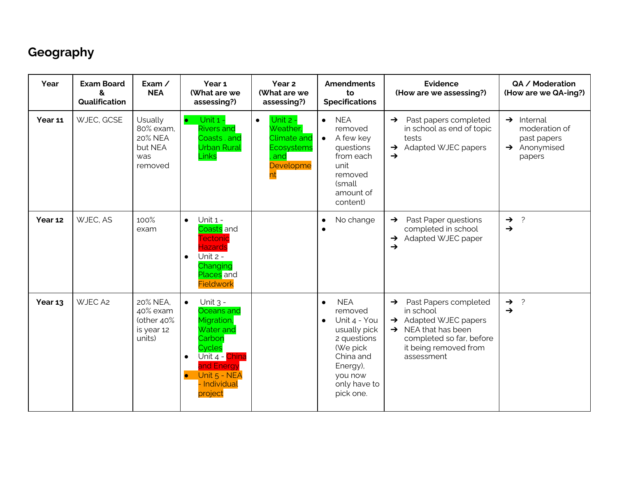## **Geography**

| Year    | <b>Exam Board</b><br>&<br>Qualification | Exam $\angle$<br><b>NEA</b>                                  | Year 1<br>(What are we<br>assessing?)                                                                                                                                                            | Year 2<br>(What are we<br>assessing?)                                                           | <b>Amendments</b><br>to<br><b>Specifications</b>                                                                                                                            | <b>Evidence</b><br>(How are we assessing?)                                                                                                                                                     | QA / Moderation<br>(How are we QA-ing?)                                                      |
|---------|-----------------------------------------|--------------------------------------------------------------|--------------------------------------------------------------------------------------------------------------------------------------------------------------------------------------------------|-------------------------------------------------------------------------------------------------|-----------------------------------------------------------------------------------------------------------------------------------------------------------------------------|------------------------------------------------------------------------------------------------------------------------------------------------------------------------------------------------|----------------------------------------------------------------------------------------------|
| Year 11 | WJEC, GCSE                              | Usually<br>80% exam,<br>20% NEA<br>but NEA<br>was<br>removed | Unit 1 -<br><b>Rivers and</b><br>Coasts, and<br><b>Urban Rural</b><br>Links                                                                                                                      | Unit 2 -<br>$\bullet$<br>Weather,<br>Climate and<br><b>Ecosystems</b><br>and<br>Developme<br>nt | <b>NEA</b><br>$\bullet$<br>removed<br>A few key<br>$\bullet$<br>questions<br>from each<br>unit<br>removed<br>(small<br>amount of<br>content)                                | Past papers completed<br>$\rightarrow$<br>in school as end of topic<br>tests<br>Adapted WJEC papers<br>$\rightarrow$<br>$\rightarrow$                                                          | $\rightarrow$ Internal<br>moderation of<br>past papers<br>$\rightarrow$ Anonymised<br>papers |
| Year 12 | WJEC, AS                                | 100%<br>exam                                                 | Unit 1 -<br>$\bullet$<br>Coasts and<br>Tectonic<br><b>Hazards</b><br>Unit 2 -<br>$\bullet$<br>Changing<br>Places and<br><b>Fieldwork</b>                                                         |                                                                                                 | No change<br>$\bullet$                                                                                                                                                      | Past Paper questions<br>$\rightarrow$<br>completed in school<br>Adapted WJEC paper<br>→<br>$\rightarrow$                                                                                       | $\overline{?}$<br>$\rightarrow$<br>$\rightarrow$                                             |
| Year 13 | WJEC A2                                 | 20% NEA.<br>40% exam<br>(other 40%<br>is year 12<br>units)   | Unit $3 -$<br>$\bullet$<br>Oceans and<br>Migration,<br><b>Water and</b><br>Carbon<br>Cycles<br>Unit 4 - <mark>China</mark><br>$\bullet$<br>and Energy<br>Unit 5 - NEA<br>- Individual<br>project |                                                                                                 | <b>NEA</b><br>$\bullet$<br>removed<br>Unit 4 - You<br>$\bullet$<br>usually pick<br>2 questions<br>(We pick<br>China and<br>Energy),<br>you now<br>only have to<br>pick one. | Past Papers completed<br>$\rightarrow$<br>in school<br>$\rightarrow$ Adapted WJEC papers<br>$\rightarrow$ NEA that has been<br>completed so far, before<br>it being removed from<br>assessment | $\overline{?}$<br>$\rightarrow$<br>$\rightarrow$                                             |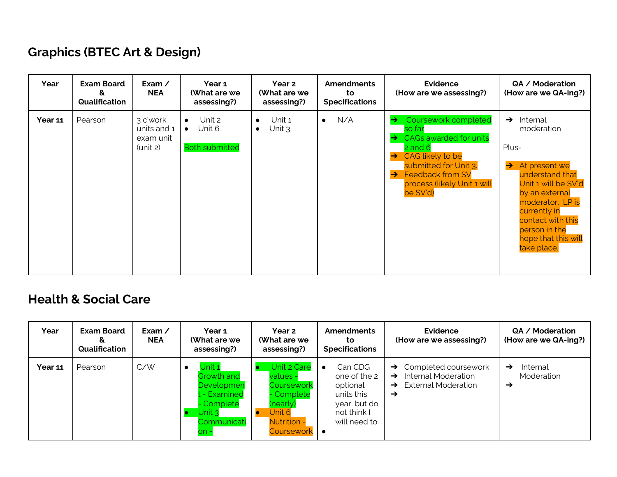## **Graphics (BTEC Art & Design)**

| Year    | <b>Exam Board</b><br>&<br>Qualification | Exam /<br><b>NEA</b>                             | Year 1<br>(What are we<br>assessing?)                               | Year 2<br>(What are we<br>assessing?)        | <b>Amendments</b><br>to<br><b>Specifications</b> | <b>Evidence</b><br>(How are we assessing?)                                                                                                                                                                                                           | QA / Moderation<br>(How are we QA-ing?)                                                                                                                                                                                                                     |
|---------|-----------------------------------------|--------------------------------------------------|---------------------------------------------------------------------|----------------------------------------------|--------------------------------------------------|------------------------------------------------------------------------------------------------------------------------------------------------------------------------------------------------------------------------------------------------------|-------------------------------------------------------------------------------------------------------------------------------------------------------------------------------------------------------------------------------------------------------------|
| Year 11 | Pearson                                 | 3 c'work<br>units and 1<br>exam unit<br>(unit 2) | Unit 2<br>$\bullet$<br>Unit 6<br>$\bullet$<br><b>Both submitted</b> | Unit 1<br>$\bullet$<br>Unit $3$<br>$\bullet$ | N/A<br>$\bullet$                                 | <b>Coursework completed</b><br>→<br>so far<br><b>CAGs awarded for units</b><br>→<br>$2$ and $6$<br>CAG likely to be<br>$\rightarrow$<br>submitted for Unit 3.<br><b>Feedback from SV</b><br>$\rightarrow$<br>process (likely Unit 1 will<br>be SV'd) | $\rightarrow$<br>Internal<br>moderation<br>Plus-<br>$\rightarrow$ At present we<br>understand that<br>Unit 1 will be SV'd<br>by an external<br>moderator. LP is<br>currently in<br>contact with this<br>person in the<br>hope that this will<br>take place. |

#### **Health & Social Care**

| Year           | <b>Exam Board</b><br>δ.<br>Qualification | Exam /<br><b>NEA</b> | Year 1<br>(What are we<br>assessing?)                                                             | Year 2<br>(What are we<br>assessing?)                                                                                | <b>Amendments</b><br>to<br><b>Specifications</b>                                                  | <b>Evidence</b><br>(How are we assessing?)                                                                              | QA / Moderation<br>(How are we QA-ing?) |
|----------------|------------------------------------------|----------------------|---------------------------------------------------------------------------------------------------|----------------------------------------------------------------------------------------------------------------------|---------------------------------------------------------------------------------------------------|-------------------------------------------------------------------------------------------------------------------------|-----------------------------------------|
| <b>Year 11</b> | Pearson                                  | C/W                  | Unit 1<br>Growth and<br>Developmen<br>t - Examined<br>- Complete<br>Unit 3<br>Communicati<br>on - | <b>Unit 2 Care</b><br>values -<br>Coursework<br>- Complete<br>(nearly)<br>Unit 6<br><b>Nutrition -</b><br>Coursework | Can CDG<br>one of the 2<br>optional<br>units this<br>year, but do<br>not think I<br>will need to. | $\rightarrow$ Completed coursework<br>Internal Moderation<br>$\rightarrow$<br>External Moderation<br>$\rightarrow$<br>→ | Internal<br>→<br>Moderation<br>→        |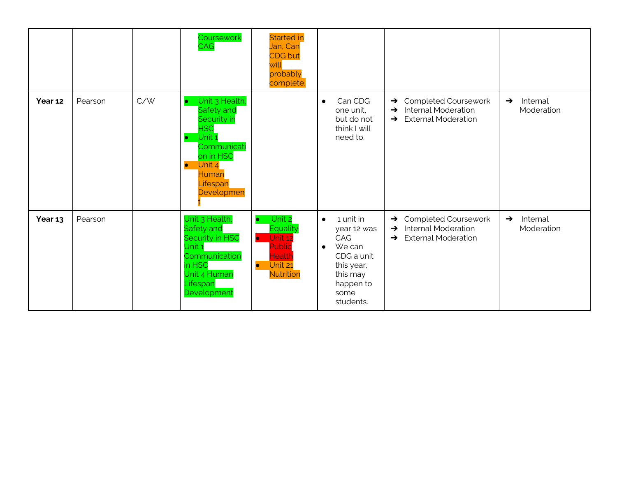|         |         |     | Coursework<br><b>CAG</b>                                                                                                                                  | <b>Started in</b><br>Jan, Can<br><b>CDG</b> but<br>will<br>probably<br>complete.                                               |                                                                                                                                               |                                                                                                                                            |                                         |
|---------|---------|-----|-----------------------------------------------------------------------------------------------------------------------------------------------------------|--------------------------------------------------------------------------------------------------------------------------------|-----------------------------------------------------------------------------------------------------------------------------------------------|--------------------------------------------------------------------------------------------------------------------------------------------|-----------------------------------------|
| Year 12 | Pearson | C/W | Unit 3 Health,<br>Safety and<br>Security in<br><b>HSC</b><br>Unit 1<br>Communicati<br>on in HSC<br>Unit 4<br>$\bullet$<br>Human<br>Lifespan<br>Developmen |                                                                                                                                | Can CDG<br>$\bullet$<br>one unit,<br>but do not<br>think I will<br>need to.                                                                   | <b>Completed Coursework</b><br>$\rightarrow$<br><b>Internal Moderation</b><br>$\rightarrow$<br><b>External Moderation</b><br>$\rightarrow$ | Internal<br>$\rightarrow$<br>Moderation |
| Year 13 | Pearson |     | Unit 3 Health,<br>Safety and<br>Security in HSC<br>Unit 1<br>Communication<br>in HSC<br>Unit 4 Human<br>Lifespan<br>Development                           | Unit 2<br>$\bullet$<br><b>Equality</b><br>Unit 12<br>$\bullet$<br>Public<br>Health<br>Unit 21<br>$\bullet$<br><b>Nutrition</b> | 1 unit in<br>$\bullet$<br>year 12 was<br>CAG<br>We can<br>$\bullet$<br>CDG a unit<br>this year,<br>this may<br>happen to<br>some<br>students. | Completed Coursework<br>$\rightarrow$<br><b>Internal Moderation</b><br>$\rightarrow$<br><b>External Moderation</b><br>$\rightarrow$        | Internal<br>$\rightarrow$<br>Moderation |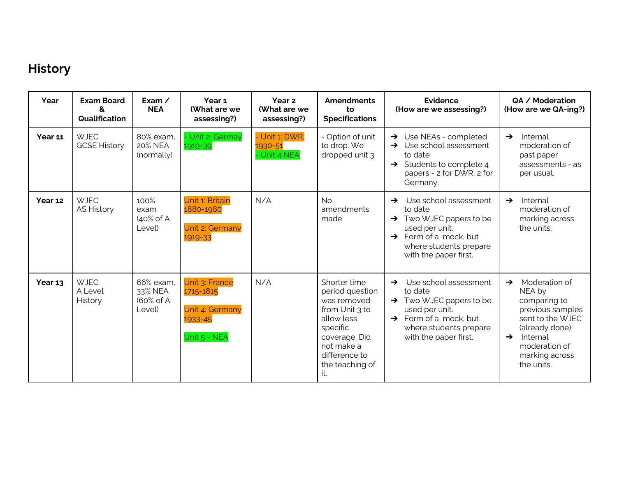## **History**

| Year    | <b>Exam Board</b><br>&<br><b>Qualification</b> | Exam $\angle$<br><b>NEA</b>                     | Year <sub>1</sub><br>(What are we<br>assessing?)                          | Year 2<br>(What are we<br>assessing?)     | <b>Amendments</b><br>to<br><b>Specifications</b>                                                                                                                     | <b>Evidence</b><br>(How are we assessing?)                                                                                                                                                            | QA / Moderation<br>(How are we QA-ing?)                                                                                                                                                          |
|---------|------------------------------------------------|-------------------------------------------------|---------------------------------------------------------------------------|-------------------------------------------|----------------------------------------------------------------------------------------------------------------------------------------------------------------------|-------------------------------------------------------------------------------------------------------------------------------------------------------------------------------------------------------|--------------------------------------------------------------------------------------------------------------------------------------------------------------------------------------------------|
| Year 11 | <b>WJEC</b><br><b>GCSE History</b>             | 80% exam.<br>20% NEA<br>(normally)              | - Unit 2: Germay<br>1919-39                                               | - Unit 1: DWR,<br>1930-51<br>- Unit 4 NEA | - Option of unit<br>to drop. We<br>dropped unit 3.                                                                                                                   | $\rightarrow$ Use NEAs - completed<br>Use school assessment<br>to date<br>$\rightarrow$ Students to complete 4<br>papers - 2 for DWR, 2 for<br>Germany.                                               | Internal<br>$\rightarrow$<br>moderation of<br>past paper<br>assessments - as<br>per usual.                                                                                                       |
| Year 12 | <b>WJEC</b><br><b>AS History</b>               | 100%<br>exam<br>$(40\% \text{ of A})$<br>Level) | Unit 1: Britain<br>1880-1980<br>Unit 2: Germany<br>1919-33                | N/A                                       | <b>No</b><br>amendments<br>made                                                                                                                                      | Use school assessment<br>$\rightarrow$<br>to date<br>$\rightarrow$ Two WJEC papers to be<br>used per unit.<br>Form of a mock, but<br>$\rightarrow$<br>where students prepare<br>with the paper first. | Internal<br>$\rightarrow$<br>moderation of<br>marking across<br>the units.                                                                                                                       |
| Year 13 | <b>WJEC</b><br>A Level<br>History              | 66% exam,<br>33% NEA<br>(60% of A<br>Level)     | Unit 3: France<br>1715-1815<br>Unit 4: Germany<br>1933-45<br>Unit 5 - NEA | N/A                                       | Shorter time<br>period question<br>was removed<br>from Unit 3 to<br>allow less<br>specific<br>coverage. Did<br>not make a<br>difference to<br>the teaching of<br>it. | Use school assessment<br>$\rightarrow$<br>to date<br>$\rightarrow$ Two WJEC papers to be<br>used per unit.<br>$\rightarrow$ Form of a mock, but<br>where students prepare<br>with the paper first.    | Moderation of<br>$\rightarrow$<br>NEA by<br>comparing to<br>previous samples<br>sent to the WJEC<br>(already done)<br>Internal<br>$\rightarrow$<br>moderation of<br>marking across<br>the units. |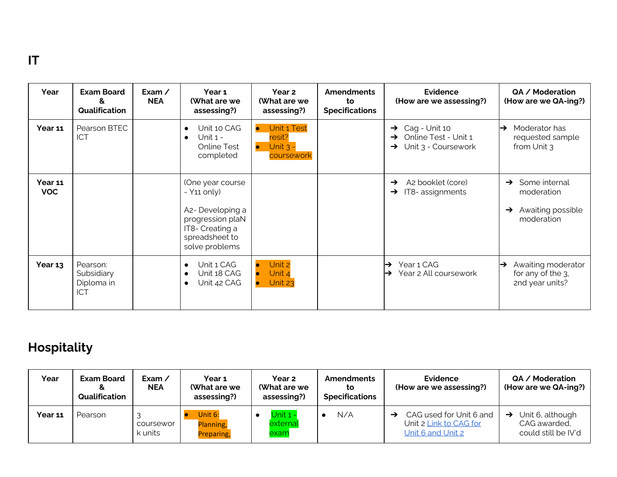#### **IT**

| Year                  | <b>Exam Board</b><br>&<br>Qualification            | Exam $\angle$<br><b>NEA</b> | Year 1<br>(What are we<br>assessing?)                                                                                                        | Year <sub>2</sub><br>(What are we<br>assessing?)                            | <b>Amendments</b><br>to<br><b>Specifications</b> | Evidence<br>(How are we assessing?)                                                                 | QA / Moderation<br>(How are we QA-ing?)                                                          |
|-----------------------|----------------------------------------------------|-----------------------------|----------------------------------------------------------------------------------------------------------------------------------------------|-----------------------------------------------------------------------------|--------------------------------------------------|-----------------------------------------------------------------------------------------------------|--------------------------------------------------------------------------------------------------|
| Year 11               | Pearson BTEC<br><b>ICT</b>                         |                             | Unit 10 CAG<br>Unit $1 -$<br>Online Test<br>completed                                                                                        | Unit 1 Test<br>$\bullet$<br>resit?<br>Unit $3 -$<br>$\bullet$<br>coursework |                                                  | Cag - Unit 10<br>$\rightarrow$<br>Online Test - Unit 1<br>→<br>Unit 3 - Coursework<br>$\rightarrow$ | Moderator has<br>$\rightarrow$<br>requested sample<br>from Unit 3                                |
| Year 11<br><b>VOC</b> |                                                    |                             | (One year course<br>$-$ Y <sub>11</sub> only)<br>A2- Developing a<br>progression plaN<br>IT8- Creating a<br>spreadsheet to<br>solve problems |                                                                             |                                                  | A2 booklet (core)<br>$\rightarrow$<br>IT8-assignments<br>$\rightarrow$                              | Some internal<br>$\rightarrow$<br>moderation<br>Awaiting possible<br>$\rightarrow$<br>moderation |
| Year 13               | Pearson:<br>Subsidiary<br>Diploma in<br><b>ICT</b> |                             | Unit 1 CAG<br>Unit 18 CAG<br>Unit 42 CAG                                                                                                     | Unit 2<br>Unit 4<br>Unit 23                                                 |                                                  | Year 1 CAG<br>⊢<br>Year 2 All coursework<br>$\rightarrow$                                           | Awaiting moderator<br>⊢<br>for any of the 3.<br>2nd year units?                                  |

## **Hospitality**

| Year    | <b>Exam Board</b><br>&<br>Qualification | Exam $\prime$<br><b>NEA</b> | Year 1<br>(What are we<br>assessing?) | <b>Year 2</b><br>(What are we<br>assessing?) | <b>Amendments</b><br>to<br><b>Specifications</b> | Evidence<br>(How are we assessing?)                                           | QA / Moderation<br>(How are we QA-ing?)                               |
|---------|-----------------------------------------|-----------------------------|---------------------------------------|----------------------------------------------|--------------------------------------------------|-------------------------------------------------------------------------------|-----------------------------------------------------------------------|
| Year 11 | Pearson                                 | coursewor<br>k units        | Unit 6:<br>Planning,<br>Preparing,    | Unit $1 -$<br>external<br>exam               | N/A                                              | CAG used for Unit 6 and<br>Unit 2 <u>Link to CAG for</u><br>Unit 6 and Unit 2 | $\rightarrow$ Unit 6, although<br>CAG awarded,<br>could still be IV'd |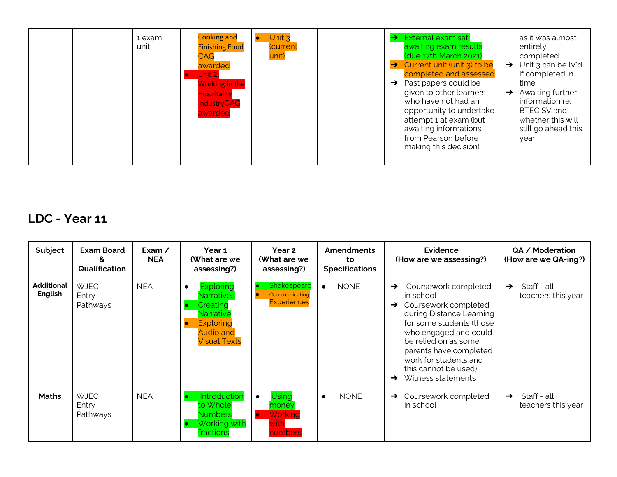|  | 1 exam<br>unit | <b>Cooking and</b><br><b>Finishing Food</b><br><b>CAG</b><br>awarded<br>Unit 2:<br><b>Working in the</b><br><b>Hospitality</b><br><b>IndustryCAG</b><br>awarded | Unit $3$<br><b>Current</b><br>unit) |  | External exam sat,<br>$\rightarrow$<br>awaiting exam results<br>(due 17th March 2021)<br>Current unit (unit 3) to be<br>$\rightarrow$<br>completed and assessed<br>Past papers could be<br>$\rightarrow$<br>given to other learners<br>who have not had an<br>opportunity to undertake<br>attempt 1 at exam (but<br>awaiting informations<br>from Pearson before<br>making this decision) | as it was almost<br>entirely<br>completed<br>$\rightarrow$ Unit 3 can be IV'd<br>if completed in<br>time<br>Awaiting further<br>$\rightarrow$<br>information re:<br>BTEC SV and<br>whether this will<br>still go ahead this<br>year |
|--|----------------|-----------------------------------------------------------------------------------------------------------------------------------------------------------------|-------------------------------------|--|-------------------------------------------------------------------------------------------------------------------------------------------------------------------------------------------------------------------------------------------------------------------------------------------------------------------------------------------------------------------------------------------|-------------------------------------------------------------------------------------------------------------------------------------------------------------------------------------------------------------------------------------|
|--|----------------|-----------------------------------------------------------------------------------------------------------------------------------------------------------------|-------------------------------------|--|-------------------------------------------------------------------------------------------------------------------------------------------------------------------------------------------------------------------------------------------------------------------------------------------------------------------------------------------------------------------------------------------|-------------------------------------------------------------------------------------------------------------------------------------------------------------------------------------------------------------------------------------|

## **LDC - Year 11**

| Subject                      | <b>Exam Board</b><br>δ.<br>Qualification | Exam $\angle$<br><b>NEA</b> | Year 1<br>(What are we<br>assessing?)                                                                                                      | Year 2<br>(What are we<br>assessing?)                                 | <b>Amendments</b><br>to<br><b>Specifications</b> | <b>Evidence</b><br>(How are we assessing?)                                                                                                                                                                                                                                           | QA / Moderation<br>(How are we QA-ing?)            |
|------------------------------|------------------------------------------|-----------------------------|--------------------------------------------------------------------------------------------------------------------------------------------|-----------------------------------------------------------------------|--------------------------------------------------|--------------------------------------------------------------------------------------------------------------------------------------------------------------------------------------------------------------------------------------------------------------------------------------|----------------------------------------------------|
| <b>Additional</b><br>English | <b>WJEC</b><br>Entry<br>Pathways         | <b>NEA</b>                  | <b>Exploring</b><br>$\bullet$<br>Narratives<br>Creating<br><b>Narrative</b><br><b>Exploring</b><br><b>Audio and</b><br><b>Visual Texts</b> | Shakespeare<br>Communicating<br><b>Experiences</b>                    | <b>NONE</b><br>$\bullet$                         | Coursework completed<br>$\rightarrow$<br>in school<br>Coursework completed<br>during Distance Learning<br>for some students (those<br>who engaged and could<br>be relied on as some<br>parents have completed<br>work for students and<br>this cannot be used)<br>Witness statements | Staff - all<br>$\rightarrow$<br>teachers this year |
| <b>Maths</b>                 | <b>WJEC</b><br>Entry<br>Pathways         | <b>NEA</b>                  | Introduction<br>to Whole<br>Numbers<br>Working with<br>fractions                                                                           | Using<br>$\bullet$<br>money<br>Working<br><b>D</b><br>with<br>numbers | <b>NONE</b><br>$\bullet$                         | Coursework completed<br>$\rightarrow$<br>in school                                                                                                                                                                                                                                   | Staff - all<br>$\rightarrow$<br>teachers this year |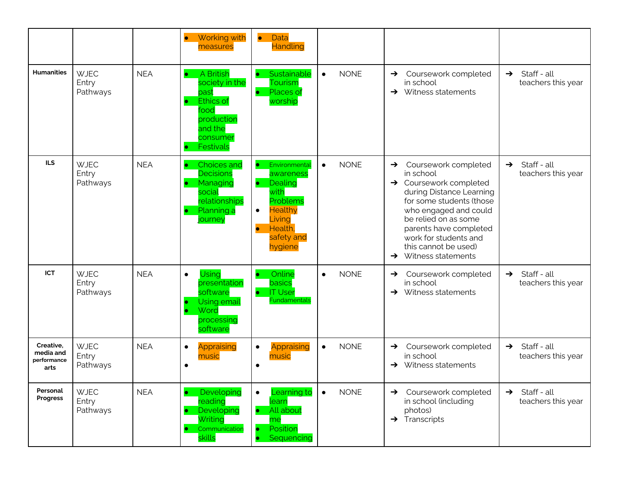|                                               |                                  |            | Working with<br>$\bullet$<br>measures                                                                                          | Data<br>$\bullet$<br><b>Handling</b>                                                                                                                                          |                          |                                                                                                                                                                                                                                                                                                                     |                                                    |
|-----------------------------------------------|----------------------------------|------------|--------------------------------------------------------------------------------------------------------------------------------|-------------------------------------------------------------------------------------------------------------------------------------------------------------------------------|--------------------------|---------------------------------------------------------------------------------------------------------------------------------------------------------------------------------------------------------------------------------------------------------------------------------------------------------------------|----------------------------------------------------|
| <b>Humanities</b>                             | <b>WJEC</b><br>Entry<br>Pathways | <b>NEA</b> | A British<br>$\bullet$<br>society in the<br>past<br><b>Ethics of</b><br>food<br>production<br>and the<br>consumer<br>Festivals | Sustainable<br><b>Tourism</b><br>Places of<br>worship                                                                                                                         | <b>NONE</b><br>$\bullet$ | Coursework completed<br>$\rightarrow$<br>in school<br>$\rightarrow$ Witness statements                                                                                                                                                                                                                              | Staff - all<br>$\rightarrow$<br>teachers this year |
| <b>ILS</b>                                    | <b>WJEC</b><br>Entry<br>Pathways | <b>NEA</b> | <b>Choices and</b><br><b>Decisions</b><br>Managing<br>social<br>relationships<br>Planning a<br>journey                         | Environmental<br>$\bullet$<br>awareness<br>Dealing<br>$\bullet$<br>with<br>Problems<br><b>Healthy</b><br>$\bullet$<br>Living<br>Health,<br>$\bullet$<br>safety and<br>hygiene | <b>NONE</b><br>$\bullet$ | Coursework completed<br>$\rightarrow$<br>in school<br>$\rightarrow$ Coursework completed<br>during Distance Learning<br>for some students (those<br>who engaged and could<br>be relied on as some<br>parents have completed<br>work for students and<br>this cannot be used)<br>Witness statements<br>$\rightarrow$ | Staff - all<br>$\rightarrow$<br>teachers this year |
| <b>ICT</b>                                    | <b>WJEC</b><br>Entry<br>Pathways | <b>NEA</b> | <b>Using</b><br>$\bullet$<br>presentation<br>software<br><b>Using email</b><br>Word<br>processing<br>software                  | Online<br>basics<br><b>IT User</b><br>Fundamentals                                                                                                                            | <b>NONE</b><br>$\bullet$ | Coursework completed<br>$\rightarrow$<br>in school<br>$\rightarrow$ Witness statements                                                                                                                                                                                                                              | Staff - all<br>$\rightarrow$<br>teachers this year |
| Creative.<br>media and<br>performance<br>arts | <b>WJEC</b><br>Entry<br>Pathways | <b>NEA</b> | Appraising<br>$\bullet$<br>music<br>$\bullet$                                                                                  | Appraising<br>$\bullet$<br>music<br>$\bullet$                                                                                                                                 | <b>NONE</b><br>$\bullet$ | Coursework completed<br>$\rightarrow$<br>in school<br>$\rightarrow$ Witness statements                                                                                                                                                                                                                              | Staff - all<br>$\rightarrow$<br>teachers this year |
| Personal<br>Progress                          | <b>WJEC</b><br>Entry<br>Pathways | <b>NEA</b> | Developing<br>۰<br>reading<br>Developing<br>Writing<br>Communication<br>skills                                                 | earning to<br>$\bullet$<br>learn<br>All about<br>me<br>Position<br>Sequencing                                                                                                 | <b>NONE</b><br>$\bullet$ | Coursework completed<br>$\rightarrow$<br>in school (including<br>photos)<br>$\rightarrow$ Transcripts                                                                                                                                                                                                               | Staff - all<br>$\rightarrow$<br>teachers this year |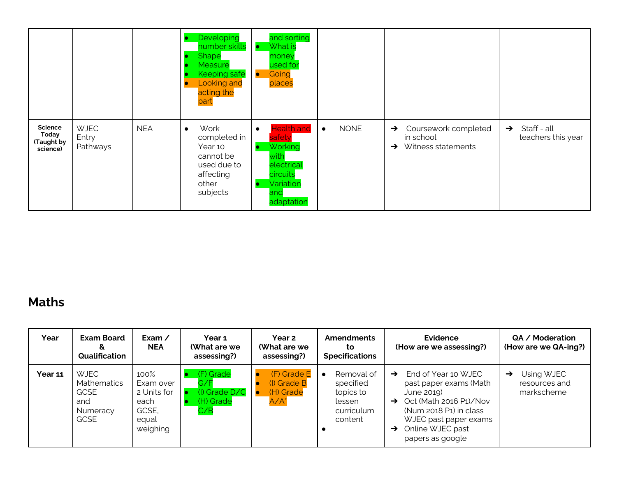|                                                         |                                  |            | Developing<br>number skills<br><b>Shape</b><br>Measure<br><b>Keeping safe</b><br><b>Looking and</b><br>acting the<br>part | and sorting<br>What is<br>$\bullet$<br>money<br>used for<br>Going<br>$\bullet$<br>places                                     |                          |                                                                                           |                                                    |
|---------------------------------------------------------|----------------------------------|------------|---------------------------------------------------------------------------------------------------------------------------|------------------------------------------------------------------------------------------------------------------------------|--------------------------|-------------------------------------------------------------------------------------------|----------------------------------------------------|
| Science<br><b>Today</b><br><b>Taught by</b><br>science) | <b>WJEC</b><br>Entry<br>Pathways | <b>NEA</b> | Work<br>$\bullet$<br>completed in<br>Year 10<br>cannot be<br>used due to<br>affecting<br>other<br>subjects                | <b>Health and</b><br>$\bullet$<br>safety<br>Working<br>o<br>with<br>electrical<br>circuits<br>Variation<br>and<br>adaptation | <b>NONE</b><br>$\bullet$ | Coursework completed<br>$\rightarrow$<br>in school<br>Witness statements<br>$\rightarrow$ | Staff - all<br>$\rightarrow$<br>teachers this year |

### **Maths**

| Year    | <b>Exam Board</b><br>æ.<br>Qualification                                           | Exam $\prime$<br><b>NEA</b>                                            | Year 1<br>(What are we<br>assessing?)                 | Year 2<br>(What are we<br>assessing?)              | <b>Amendments</b><br>to<br><b>Specifications</b>                        | Evidence<br>(How are we assessing?)                                                                                                                                                                                              | QA / Moderation<br>(How are we QA-ing?)                    |
|---------|------------------------------------------------------------------------------------|------------------------------------------------------------------------|-------------------------------------------------------|----------------------------------------------------|-------------------------------------------------------------------------|----------------------------------------------------------------------------------------------------------------------------------------------------------------------------------------------------------------------------------|------------------------------------------------------------|
| Year 11 | <b>WJEC</b><br><b>Mathematics</b><br><b>GCSE</b><br>and<br>Numeracy<br><b>GCSE</b> | 100%<br>Exam over<br>2 Units for<br>each<br>GCSE,<br>equal<br>weighing | (F) Grade<br>G/F<br>(I) Grade D/C<br>(H) Grade<br>C/B | (F) Grade E<br>(I) Grade B<br>(H) Grade<br>$A/A^*$ | Removal of<br>specified<br>topics to<br>lessen<br>curriculum<br>content | End of Year 10 WJEC<br>$\rightarrow$<br>past paper exams (Math<br>June 2019)<br>$\rightarrow$ Oct (Math 2016 P1)/Nov<br>(Num 2018 P1) in class<br>WJEC past paper exams<br>Online WJEC past<br>$\rightarrow$<br>papers as google | Using WJEC<br>$\rightarrow$<br>resources and<br>markscheme |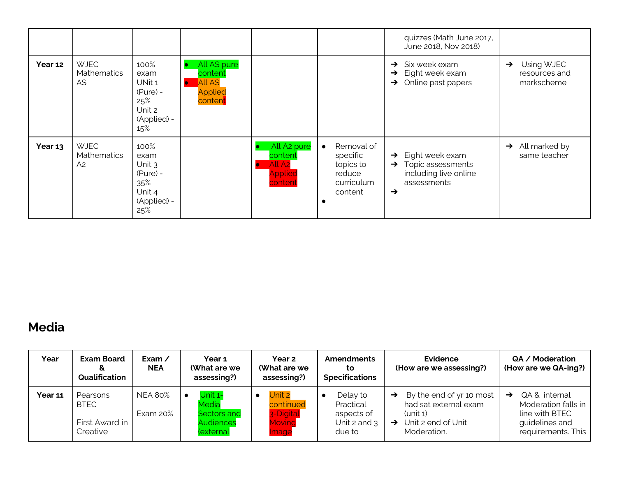|         |                                                     |                                                                             |                                                                      |                                                                                                    |                                                                                     | quizzes (Math June 2017,<br>June 2018, Nov 2018)                                                                                |                                                            |
|---------|-----------------------------------------------------|-----------------------------------------------------------------------------|----------------------------------------------------------------------|----------------------------------------------------------------------------------------------------|-------------------------------------------------------------------------------------|---------------------------------------------------------------------------------------------------------------------------------|------------------------------------------------------------|
| Year 12 | <b>WJEC</b><br><b>Mathematics</b><br>AS.            | 100%<br>exam<br>UNit 1<br>$(Pure) -$<br>25%<br>Unit 2<br>(Applied) -<br>15% | All AS pure<br>content<br><b>All AS</b><br><b>Applied</b><br>content |                                                                                                    |                                                                                     | Six week exam<br>$\rightarrow$<br>Eight week exam<br>$\rightarrow$<br>Online past papers<br>$\rightarrow$                       | Using WJEC<br>$\rightarrow$<br>resources and<br>markscheme |
| Year 13 | <b>WJEC</b><br><b>Mathematics</b><br>A <sub>2</sub> | 100%<br>exam<br>Unit 3<br>$(Pure) -$<br>35%<br>Unit 4<br>(Applied) -<br>25% |                                                                      | All A <sub>2</sub> pure<br>content<br>All A <sub>2</sub><br>$\bullet$<br><b>Applied</b><br>content | Removal of<br>$\bullet$<br>specific<br>topics to<br>reduce<br>curriculum<br>content | Eight week exam<br>$\rightarrow$<br>Topic assessments<br>$\rightarrow$<br>including live online<br>assessments<br>$\rightarrow$ | $\rightarrow$ All marked by<br>same teacher                |

### **Media**

| Year    | <b>Exam Board</b><br>&<br>Qualification               | Exam /<br><b>NEA</b>       | Year 1<br>(What are we<br>assessing?)                            | Year 2<br>(What are we<br>assessing?)               | <b>Amendments</b><br>to<br><b>Specifications</b>                | Evidence<br>(How are we assessing?)                                                                                                    | QA / Moderation<br>(How are we QA-ing?)                                                             |
|---------|-------------------------------------------------------|----------------------------|------------------------------------------------------------------|-----------------------------------------------------|-----------------------------------------------------------------|----------------------------------------------------------------------------------------------------------------------------------------|-----------------------------------------------------------------------------------------------------|
| Year 11 | Pearsons<br><b>BTEC</b><br>First Award in<br>Creative | <b>NEA 80%</b><br>Exam 20% | Unit 1-<br>Media<br>Sectors and<br><b>Audiences</b><br>(external | Unit 2<br>continued<br>3-Digital<br>Moving<br>Image | Delay to<br>Practical<br>aspects of<br>Unit 2 and $3$<br>due to | By the end of yr 10 most<br>$\rightarrow$<br>had sat external exam<br>$(unit_1)$<br>Unit 2 end of Unit<br>$\rightarrow$<br>Moderation. | QA & internal<br>→<br>Moderation falls in<br>line with BTEC<br>guidelines and<br>requirements. This |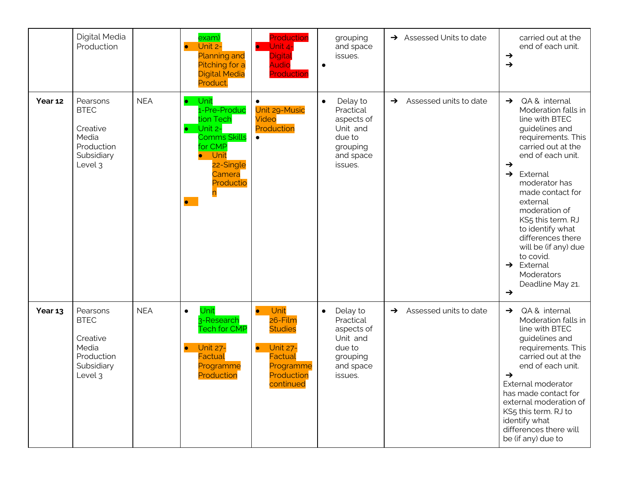|         | Digital Media<br>Production                                                         |            | exam)<br>Unit 2-<br>$\bullet$<br><b>Planning and</b><br>Pitching for a<br><b>Digital Media</b><br>Product.                              | Production<br>Unit 4-<br>$\bullet$<br>Digital<br><b>Audio</b><br>Production                                                              | grouping<br>and space<br>issues.<br>$\bullet$                                                              | $\rightarrow$ Assessed Units to date    | carried out at the<br>end of each unit.<br>$\rightarrow$<br>$\rightarrow$                                                                                                                                                                                                                                                                                                                                                                                     |
|---------|-------------------------------------------------------------------------------------|------------|-----------------------------------------------------------------------------------------------------------------------------------------|------------------------------------------------------------------------------------------------------------------------------------------|------------------------------------------------------------------------------------------------------------|-----------------------------------------|---------------------------------------------------------------------------------------------------------------------------------------------------------------------------------------------------------------------------------------------------------------------------------------------------------------------------------------------------------------------------------------------------------------------------------------------------------------|
| Year 12 | Pearsons<br><b>BTEC</b><br>Creative<br>Media<br>Production<br>Subsidiary<br>Level 3 | <b>NEA</b> | Unit<br>1-Pre-Produc<br>tion Tech<br>Unit 2-<br><b>Comms Skills</b><br>for CMP<br>Unit<br>22-Single<br>Camera<br>Productio<br>$\bullet$ | Unit 29-Music<br>Video<br>Production<br>$\bullet$                                                                                        | Delay to<br>$\bullet$<br>Practical<br>aspects of<br>Unit and<br>due to<br>grouping<br>and space<br>issues. | Assessed units to date<br>$\rightarrow$ | QA & internal<br>$\rightarrow$<br>Moderation falls in<br>line with BTEC<br>guidelines and<br>requirements. This<br>carried out at the<br>end of each unit.<br>$\rightarrow$<br>External<br>$\rightarrow$<br>moderator has<br>made contact for<br>external<br>moderation of<br>KS5 this term. RJ<br>to identify what<br>differences there<br>will be (if any) due<br>to covid.<br>External<br>$\rightarrow$<br>Moderators<br>Deadline May 21.<br>$\rightarrow$ |
| Year 13 | Pearsons<br><b>BTEC</b><br>Creative<br>Media<br>Production<br>Subsidiary<br>Level 3 | <b>NEA</b> | Unit<br>$\bullet$<br>3-Research<br><b>Tech for CMP</b><br><b>Unit 27-</b><br>$\bullet$<br><b>Factual</b><br>Programme<br>Production     | Unit<br>$\bullet$<br>26-Film<br><b>Studies</b><br><b>Unit 27-</b><br>$\bullet$<br><b>Factual</b><br>Programme<br>Production<br>continued | Delay to<br>$\bullet$<br>Practical<br>aspects of<br>Unit and<br>due to<br>grouping<br>and space<br>issues. | Assessed units to date<br>$\rightarrow$ | QA & internal<br>$\rightarrow$<br>Moderation falls in<br>line with BTEC<br>guidelines and<br>requirements. This<br>carried out at the<br>end of each unit.<br>$\rightarrow$<br>External moderator<br>has made contact for<br>external moderation of<br>KS5 this term. RJ to<br>identify what<br>differences there will<br>be (if any) due to                                                                                                                  |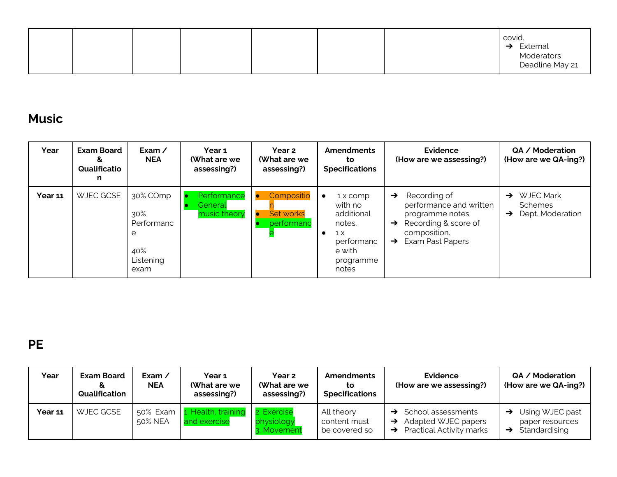|  |  |  |  | covid.<br>External<br>Moderators<br>Deadline May 21.<br>$\rightarrow$ |
|--|--|--|--|-----------------------------------------------------------------------|
|  |  |  |  |                                                                       |

## **Music**

| Year           | <b>Exam Board</b><br>&<br>Qualificatio<br>n | Exam $\angle$<br><b>NEA</b>                                    | Year 1<br>(What are we<br>assessing?)  | Year 2<br>(What are we<br>assessing?) | <b>Amendments</b><br>to<br><b>Specifications</b>                                                                                  | <b>Evidence</b><br>(How are we assessing?)                                                                                                                                 | QA / Moderation<br>(How are we QA-ing?)                                                  |
|----------------|---------------------------------------------|----------------------------------------------------------------|----------------------------------------|---------------------------------------|-----------------------------------------------------------------------------------------------------------------------------------|----------------------------------------------------------------------------------------------------------------------------------------------------------------------------|------------------------------------------------------------------------------------------|
| <b>Year 11</b> | WJEC GCSE                                   | 30% COmp<br>30%<br>Performanc<br>e<br>40%<br>Listening<br>exam | Performance<br>General<br>music theory | Compositio<br>Set works<br>performanc | 1 x comp<br>$\bullet$<br>with no<br>additional<br>notes.<br>$1 \times$<br>$\bullet$<br>performanc<br>e with<br>programme<br>notes | Recording of<br>$\rightarrow$<br>performance and written<br>programme notes.<br>Recording & score of<br>$\rightarrow$<br>composition.<br>Exam Past Papers<br>$\rightarrow$ | <b>WJEC Mark</b><br>$\rightarrow$<br><b>Schemes</b><br>Dept. Moderation<br>$\rightarrow$ |

**PE**

| Year    | <b>Exam Board</b><br>Qualification | Exam /<br><b>NEA</b> | Year 1<br>(What are we<br>assessing?) | Year 2<br>(What are we<br>assessing?)    | <b>Amendments</b><br>to<br><b>Specifications</b> | Evidence<br>(How are we assessing?)                                                                     | QA / Moderation<br>(How are we QA-ing?)                                         |
|---------|------------------------------------|----------------------|---------------------------------------|------------------------------------------|--------------------------------------------------|---------------------------------------------------------------------------------------------------------|---------------------------------------------------------------------------------|
| Year 11 | WJEC GCSE                          | 50% Exam<br>50% NEA  | 1. Health, training<br>and exercise   | 2. Exercise<br>physiology<br>3. Movement | All theory<br>content must<br>be covered so      | School assessments<br>Adapted WJEC papers<br>$\rightarrow$<br>Practical Activity marks<br>$\rightarrow$ | $\rightarrow$ Using WJEC past<br>paper resources<br>$\rightarrow$ Standardising |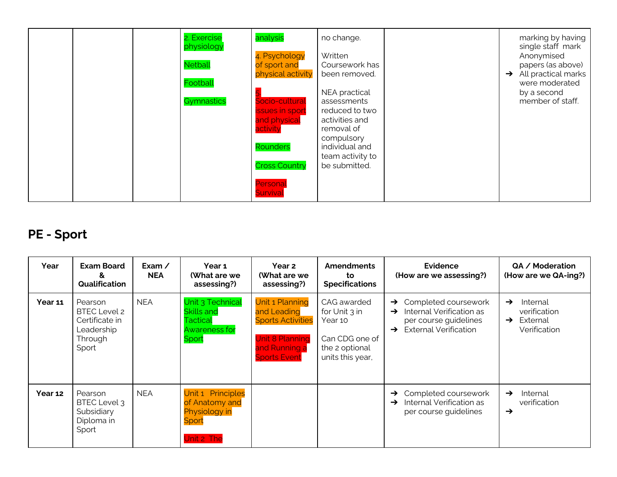|  | 2. Exercise<br>physiology<br><b>Netball</b> | analysis<br>4. Psychology<br>of sport and<br>physical activity | no change.<br>Written<br>Coursework has<br>been removed. |  | marking by having<br>single staff mark<br>Anonymised<br>papers (as above)<br>$\rightarrow$ All practical marks |
|--|---------------------------------------------|----------------------------------------------------------------|----------------------------------------------------------|--|----------------------------------------------------------------------------------------------------------------|
|  | Football                                    |                                                                | NEA practical                                            |  | were moderated<br>by a second                                                                                  |
|  | Gymnastics                                  | Socio-cultural                                                 | assessments                                              |  | member of staff.                                                                                               |
|  |                                             | <b>issues in sport</b>                                         | reduced to two                                           |  |                                                                                                                |
|  |                                             | and physical                                                   | activities and                                           |  |                                                                                                                |
|  |                                             | activity                                                       | removal of                                               |  |                                                                                                                |
|  |                                             | Rounders                                                       | compulsory<br>individual and                             |  |                                                                                                                |
|  |                                             |                                                                | team activity to                                         |  |                                                                                                                |
|  |                                             | <b>Cross Country</b>                                           | be submitted.                                            |  |                                                                                                                |
|  |                                             |                                                                |                                                          |  |                                                                                                                |
|  |                                             | Persona<br>Survival                                            |                                                          |  |                                                                                                                |

## **PE - Sport**

| Year    | <b>Exam Board</b><br>ଧ⊻<br>Qualification                                           | Exam $\angle$<br><b>NEA</b> | Year 1<br>(What are we<br>assessing?)                                       | <b>Year 2</b><br><b>(What are we</b><br>assessing?)                                                                                 | <b>Amendments</b><br>to<br><b>Specifications</b>                                                | <b>Evidence</b><br>(How are we assessing?)                                                                                           | QA / Moderation<br>(How are we QA-ing?)                                                |
|---------|------------------------------------------------------------------------------------|-----------------------------|-----------------------------------------------------------------------------|-------------------------------------------------------------------------------------------------------------------------------------|-------------------------------------------------------------------------------------------------|--------------------------------------------------------------------------------------------------------------------------------------|----------------------------------------------------------------------------------------|
| Year 11 | Pearson<br><b>BTEC Level 2</b><br>Certificate in<br>Leadership<br>Through<br>Sport | <b>NEA</b>                  | Unit 3 Technical<br>Skills and<br>Tactical<br><b>Awareness for</b><br>Sport | <b>Unit 1 Planning</b><br>and Leading<br><b>Sports Activities</b><br><b>Unit 8 Planning</b><br>and Running a<br><b>Sports Event</b> | CAG awarded<br>for Unit 3 in<br>Year 10<br>Can CDG one of<br>the 2 optional<br>units this year, | Completed coursework<br>$\rightarrow$<br>Internal Verification as<br>→<br>per course guidelines<br><b>External Verification</b><br>→ | Internal<br>$\rightarrow$<br>verification<br>External<br>$\rightarrow$<br>Verification |
| Year 12 | Pearson<br>BTEC Level 3<br>Subsidiary<br>Diploma in<br>Sport                       | <b>NEA</b>                  | Unit 1 Principles<br>of Anatomy and<br>Physiology in<br>Sport<br>Unit 2 The |                                                                                                                                     |                                                                                                 | Completed coursework<br>$\rightarrow$<br>Internal Verification as<br>→<br>per course guidelines                                      | Internal<br>$\rightarrow$<br>verification<br>$\rightarrow$                             |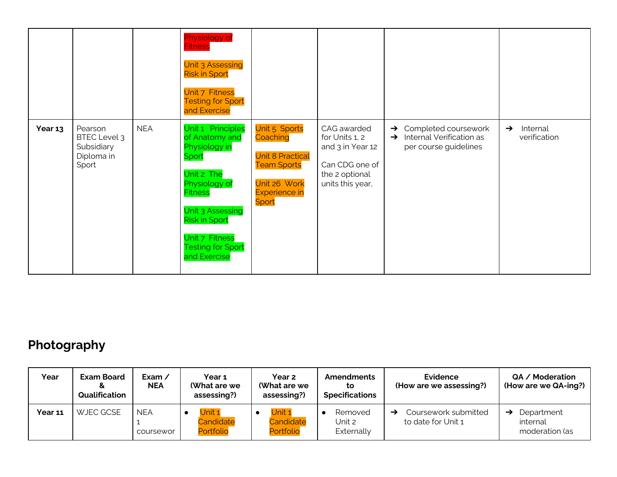|         |                                                                     |            | Physiology of<br><b>Fitness</b><br><b>Unit 3 Assessing</b><br><b>Risk in Sport</b><br>Unit 7 Fitness<br><b>Testing for Sport</b><br>and Exercise                                                                         |                                                                                                                             |                                                                                                           |                                                                                                             |                                           |
|---------|---------------------------------------------------------------------|------------|--------------------------------------------------------------------------------------------------------------------------------------------------------------------------------------------------------------------------|-----------------------------------------------------------------------------------------------------------------------------|-----------------------------------------------------------------------------------------------------------|-------------------------------------------------------------------------------------------------------------|-------------------------------------------|
| Year 13 | Pearson<br><b>BTEC Level 3</b><br>Subsidiary<br>Diploma in<br>Sport | <b>NEA</b> | Unit 1 Principles<br>of Anatomy and<br>Physiology in<br>Sport<br>Unit 2 The<br>Physiology of<br><b>Fitness</b><br>Unit 3 Assessing<br><b>Risk in Sport</b><br>Unit 7 Fitness<br><b>Testing for Sport</b><br>and Exercise | Unit 5 Sports<br>Coaching<br><b>Unit 8 Practical</b><br><b>Team Sports</b><br>Unit 26 Work<br><b>Experience in</b><br>Sport | CAG awarded<br>for Units 1, 2<br>and 3 in Year 12<br>Can CDG one of<br>the 2 optional<br>units this year, | Completed coursework<br>$\rightarrow$<br>Internal Verification as<br>$\rightarrow$<br>per course guidelines | Internal<br>$\rightarrow$<br>verification |

## **Photography**

| Year    | <b>Exam Board</b><br>Qualification | Exam $\prime$<br><b>NEA</b> | Year <sub>1</sub><br>(What are we<br>assessing?) | <b>Year 2</b><br>(What are we<br>assessing?) | <b>Amendments</b><br>to<br><b>Specifications</b> | Evidence<br>(How are we assessing?)             | QA / Moderation<br>(How are we QA-ing?)  |
|---------|------------------------------------|-----------------------------|--------------------------------------------------|----------------------------------------------|--------------------------------------------------|-------------------------------------------------|------------------------------------------|
| Year 11 | WJEC GCSE                          | <b>NEA</b><br>coursewor     | Unit 1<br>Candidate<br>Portfolio                 | $J$ nit 1<br>Candidate<br>Portfolio          | Removed<br>Unit 2<br>Externally                  | Coursework submitted<br>→<br>to date for Unit 1 | Department<br>internal<br>moderation (as |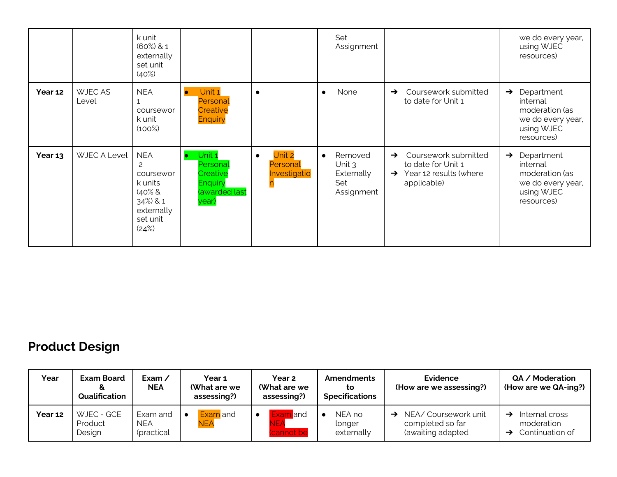|         |                        | k unit<br>$(60\%) 81$<br>externally<br>set unit<br>(40%)                                           |                                                                            |                                                 | Set<br>Assignment                                                   |                                                                                                                       | we do every year,<br>using WJEC<br>resources)                                                              |
|---------|------------------------|----------------------------------------------------------------------------------------------------|----------------------------------------------------------------------------|-------------------------------------------------|---------------------------------------------------------------------|-----------------------------------------------------------------------------------------------------------------------|------------------------------------------------------------------------------------------------------------|
| Year 12 | <b>WJECAS</b><br>Level | <b>NEA</b><br>coursewor<br>k unit<br>$(100\%)$                                                     | Unit 1<br>Personal<br>Creative<br><b>Enquiry</b>                           | $\bullet$                                       | None<br>$\bullet$                                                   | Coursework submitted<br>$\rightarrow$<br>to date for Unit 1                                                           | Department<br>$\rightarrow$<br>internal<br>moderation (as<br>we do every year,<br>using WJEC<br>resources) |
| Year 13 | WJEC A Level           | <b>NEA</b><br>2<br>coursewor<br>k units<br>$40\%$ &<br>34%) & 1<br>externally<br>set unit<br>(24%) | Unit 1<br>Personal<br>Creative<br><b>Enquiry</b><br>(awarded last<br>year) | Unit 2<br>$\bullet$<br>Personal<br>Investigatio | Removed<br>$\bullet$<br>Unit $3$<br>Externally<br>Set<br>Assignment | Coursework submitted<br>$\rightarrow$<br>to date for Unit 1<br>Year 12 results (where<br>$\rightarrow$<br>applicable) | Department<br>$\rightarrow$<br>internal<br>moderation (as<br>we do every year,<br>using WJEC<br>resources) |

## **Product Design**

| Year    | <b>Exam Board</b><br>Qualification | Exam $\prime$<br><b>NEA</b>          | Year 1<br>(What are we<br>assessing?) | <b>Year 2</b><br>(What are we<br>assessing?) | <b>Amendments</b><br>to<br><b>Specifications</b> | Evidence<br>(How are we assessing?)                           | QA / Moderation<br>(How are we QA-ing?)         |
|---------|------------------------------------|--------------------------------------|---------------------------------------|----------------------------------------------|--------------------------------------------------|---------------------------------------------------------------|-------------------------------------------------|
| Year 12 | WJEC - GCE<br>Product<br>Design    | Exam and<br><b>NEA</b><br>(practical | Exam and<br><b>NEA</b>                | Exam and<br>$\bullet$<br>NEA<br>(cannot be   | NEA no<br>longer<br>externally                   | NEA/ Coursework unit<br>completed so far<br>(awaiting adapted | Internal cross<br>moderation<br>Continuation of |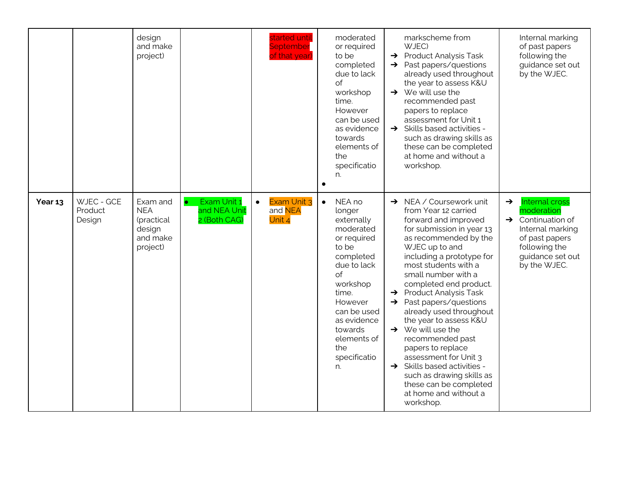|         |                                 | design<br>and make<br>project)                                         |                                                          | started until<br>September<br>of that year)   | moderated<br>or required<br>to be<br>completed<br>due to lack<br>of<br>workshop<br>time.<br>However<br>can be used<br>as evidence<br>towards<br>elements of<br>the<br>specificatio<br>n.<br>$\bullet$                                   | markscheme from<br>WJEC)<br>$\rightarrow$ Product Analysis Task<br>$\rightarrow$ Past papers/questions<br>already used throughout<br>the year to assess K&U<br>$\rightarrow$ We will use the<br>recommended past<br>papers to replace<br>assessment for Unit 1<br>$\rightarrow$ Skills based activities -<br>such as drawing skills as<br>these can be completed<br>at home and without a<br>workshop.                                                                                                                                                                                                                                          | Internal marking<br>of past papers<br>following the<br>guidance set out<br>by the WJEC.                                                                                          |
|---------|---------------------------------|------------------------------------------------------------------------|----------------------------------------------------------|-----------------------------------------------|-----------------------------------------------------------------------------------------------------------------------------------------------------------------------------------------------------------------------------------------|-------------------------------------------------------------------------------------------------------------------------------------------------------------------------------------------------------------------------------------------------------------------------------------------------------------------------------------------------------------------------------------------------------------------------------------------------------------------------------------------------------------------------------------------------------------------------------------------------------------------------------------------------|----------------------------------------------------------------------------------------------------------------------------------------------------------------------------------|
| Year 13 | WJEC - GCE<br>Product<br>Design | Exam and<br><b>NEA</b><br>(practical<br>design<br>and make<br>project) | Exam Unit 1<br>$\bullet$<br>and NEA Unit<br>2 (Both CAG) | Exam Unit 3<br>$\bullet$<br>and NEA<br>Unit 4 | NEA no<br>$\bullet$<br>longer<br>externally<br>moderated<br>or required<br>to be<br>completed<br>due to lack<br>of<br>workshop<br>time.<br>However<br>can be used<br>as evidence<br>towards<br>elements of<br>the<br>specificatio<br>n. | $\rightarrow$ NEA / Coursework unit<br>from Year 12 carried<br>forward and improved<br>for submission in year 13<br>as recommended by the<br>WJEC up to and<br>including a prototype for<br>most students with a<br>small number with a<br>completed end product.<br>$\rightarrow$ Product Analysis Task<br>$\rightarrow$ Past papers/questions<br>already used throughout<br>the year to assess K&U<br>$\rightarrow$ We will use the<br>recommended past<br>papers to replace<br>assessment for Unit 3<br>$\rightarrow$ Skills based activities -<br>such as drawing skills as<br>these can be completed<br>at home and without a<br>workshop. | <b>Internal cross</b><br>$\rightarrow$<br>moderation<br>$\rightarrow$ Continuation of<br>Internal marking<br>of past papers<br>following the<br>guidance set out<br>by the WJEC. |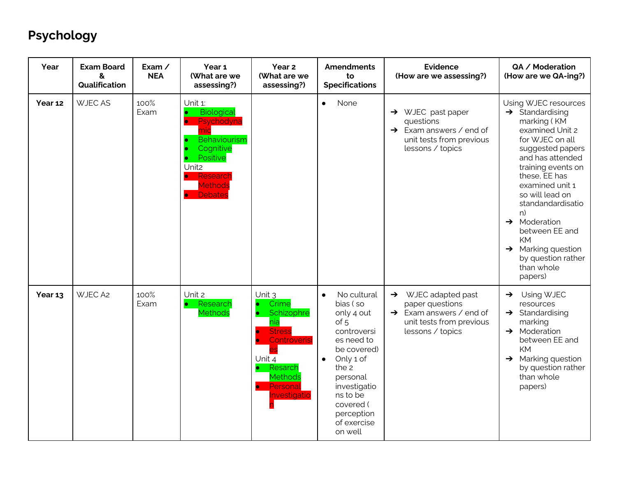# **Psychology**

| Year    | <b>Exam Board</b><br>&<br>Qualification | Exam $\angle$<br><b>NEA</b> | Year 1<br>(What are we<br>assessing?)                                                                                                                           | Year <sub>2</sub><br>(What are we<br>assessing?)                                                                                                                  | <b>Amendments</b><br>to<br><b>Specifications</b>                                                                                                                                                                                         | <b>Evidence</b><br>(How are we assessing?)                                                                                                   | QA / Moderation<br>(How are we QA-ing?)                                                                                                                                                                                                                                                                                                                                                       |
|---------|-----------------------------------------|-----------------------------|-----------------------------------------------------------------------------------------------------------------------------------------------------------------|-------------------------------------------------------------------------------------------------------------------------------------------------------------------|------------------------------------------------------------------------------------------------------------------------------------------------------------------------------------------------------------------------------------------|----------------------------------------------------------------------------------------------------------------------------------------------|-----------------------------------------------------------------------------------------------------------------------------------------------------------------------------------------------------------------------------------------------------------------------------------------------------------------------------------------------------------------------------------------------|
| Year 12 | <b>WJECAS</b>                           | 100%<br>Exam                | Unit 1:<br><b>Biological</b><br>Psychodyna<br>nic<br>Behaviourism<br>Cognitive<br>Positive<br>Unit <sub>2</sub><br>Research<br><b>Methods</b><br><b>Debates</b> |                                                                                                                                                                   | None<br>$\bullet$                                                                                                                                                                                                                        | $\rightarrow$ WJEC past paper<br>questions<br>Exam answers / end of<br>$\rightarrow$<br>unit tests from previous<br>lessons / topics         | Using WJEC resources<br>$\rightarrow$ Standardising<br>marking (KM<br>examined Unit 2<br>for WJEC on all<br>suggested papers<br>and has attended<br>training events on<br>these, EE has<br>examined unit 1<br>so will lead on<br>standandardisatio<br>n)<br>$\rightarrow$ Moderation<br>between EE and<br>KM<br>$\rightarrow$ Marking question<br>by question rather<br>than whole<br>papers) |
| Year 13 | WJEC A2                                 | 100%<br>Exam                | Unit 2<br>Research<br><b>Methods</b>                                                                                                                            | Unit 3<br>Crime<br>Schizophre<br>nia<br><b>Stress</b><br>Controverisi<br>$\bullet$<br>Unit 4<br>Resarch<br><b>Methods</b><br>Personal<br>$\bullet$<br>nvestigatio | No cultural<br>$\bullet$<br>bias (so<br>only 4 out<br>of 5<br>controversi<br>es need to<br>be covered)<br>Only 1 of<br>$\bullet$<br>the $2$<br>personal<br>investigatio<br>ns to be<br>covered (<br>perception<br>of exercise<br>on well | WJEC adapted past<br>$\rightarrow$<br>paper questions<br>$\rightarrow$ Exam answers / end of<br>unit tests from previous<br>lessons / topics | Using WJEC<br>$\rightarrow$<br>resources<br>$\rightarrow$ Standardising<br>marking<br>$\rightarrow$ Moderation<br>between EE and<br>KM<br>$\rightarrow$ Marking question<br>by question rather<br>than whole<br>papers)                                                                                                                                                                       |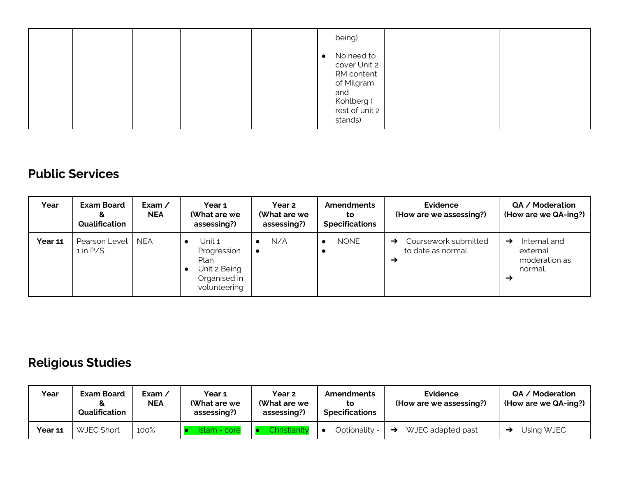|  | being)                                                                                                   |
|--|----------------------------------------------------------------------------------------------------------|
|  | No need to<br>cover Unit 2<br>RM content<br>of Milgram<br>and<br>Kohlberg (<br>rest of unit 2<br>stands) |

#### **Public Services**

| Year    | <b>Exam Board</b><br>&<br>Qualification | Exam $\prime$<br><b>NEA</b> | Year 1<br>(What are we<br>assessing?)                                         | Year 2<br>(What are we<br>assessing?) | <b>Amendments</b><br>to<br><b>Specifications</b> | <b>Evidence</b><br>(How are we assessing?)                                   | QA / Moderation<br>(How are we QA-ing?)                                    |
|---------|-----------------------------------------|-----------------------------|-------------------------------------------------------------------------------|---------------------------------------|--------------------------------------------------|------------------------------------------------------------------------------|----------------------------------------------------------------------------|
| Year 11 | Pearson Level<br>$1$ in P/S.            | <b>NEA</b>                  | Unit 1<br>Progression<br>Plan<br>Unit 2 Being<br>Organised in<br>volunteering | N/A<br>$\bullet$<br>$\bullet$         | <b>NONE</b>                                      | Coursework submitted<br>$\rightarrow$<br>to date as normal.<br>$\rightarrow$ | Internal and<br>$\rightarrow$<br>external<br>moderation as<br>normal.<br>→ |

## **Religious Studies**

| Year    | <b>Exam Board</b><br>Qualification | Exam ∕<br><b>NEA</b> | Year 1<br>(What are we<br>assessing?) | Year 2<br>(What are we<br>assessing?) | <b>Amendments</b><br>to<br><b>Specifications</b> | Evidence<br>(How are we assessing?) | QA / Moderation<br>(How are we QA-ing?) $ $ |
|---------|------------------------------------|----------------------|---------------------------------------|---------------------------------------|--------------------------------------------------|-------------------------------------|---------------------------------------------|
| Year 11 | <b>WJEC Short</b>                  | 100%                 | Islam - core                          | Christianity                          | Optionality -                                    | WJEC adapted past<br>$\rightarrow$  | Using WJEC                                  |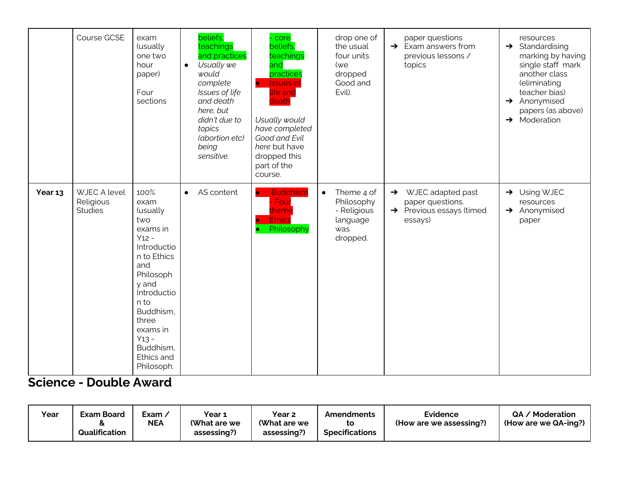|         | Course GCSE                                        | exam<br>(usually<br>one two<br>hour<br>paper)<br>Four<br>sections                                                                                                                                                                     | $\bullet$ | beliefs.<br>teachings<br>and practices<br>Usually we<br>would<br>complete<br>Issues of life<br>and death<br>here, but<br>didn't due to<br>topics<br>(abortion etc)<br>being<br>sensitive. | - core<br>beliefs,<br>teachings<br>and<br>practices<br><b>Issues</b> of<br>$\bullet$<br>life and<br>death<br>Usually would<br>have completed<br>Good and Evil<br>here but have<br>dropped this<br>part of the<br>course. | drop one of<br>the usual<br>four units<br>(we<br>dropped<br>Good and<br>Evil).      | paper questions<br>$\rightarrow$ Exam answers from<br>previous lessons /<br>topics            | resources<br>$\rightarrow$ Standardising<br>marking by having<br>single staff mark<br>another class<br>(eliminating<br>teacher bias)<br>$\rightarrow$ Anonymised<br>papers (as above)<br>$\rightarrow$ Moderation |
|---------|----------------------------------------------------|---------------------------------------------------------------------------------------------------------------------------------------------------------------------------------------------------------------------------------------|-----------|-------------------------------------------------------------------------------------------------------------------------------------------------------------------------------------------|--------------------------------------------------------------------------------------------------------------------------------------------------------------------------------------------------------------------------|-------------------------------------------------------------------------------------|-----------------------------------------------------------------------------------------------|-------------------------------------------------------------------------------------------------------------------------------------------------------------------------------------------------------------------|
| Year 13 | <b>WJEC A level</b><br>Religious<br><b>Studies</b> | 100%<br>exam<br>(usually<br>two<br>exams in<br>$Y12 -$<br>Introductio<br>n to Ethics<br>and<br>Philosoph<br>y and<br><b>Introductio</b><br>n to<br>Buddhism,<br>three<br>exams in<br>$Y13 -$<br>Buddhism,<br>Ethics and<br>Philosoph. | $\bullet$ | AS content                                                                                                                                                                                | <b>Buddhism</b><br>$\bullet$<br>Four<br>:heme<br><b>Ethics</b><br>Philosophy                                                                                                                                             | Theme 4 of<br>$\bullet$<br>Philosophy<br>- Religious<br>language<br>was<br>dropped. | WJEC adapted past<br>$\rightarrow$<br>paper questions.<br>> Previous essays (timed<br>essays) | $\rightarrow$ Using WJEC<br>resources<br>$\rightarrow$ Anonymised<br>paper                                                                                                                                        |

#### **Science - Double Award**

| Year | <b>Exam Board</b><br>Qualification | Exam.<br><b>NEA</b> | Year 1<br>(What are we<br>assessing?) | Year <sub>2</sub><br>(What are we<br>assessing? | Amendments<br>to<br><b>Specifications</b> | Evidence<br>(How are we assessing?) | / Moderation<br>QA.<br>(How are we QA-ing?) |
|------|------------------------------------|---------------------|---------------------------------------|-------------------------------------------------|-------------------------------------------|-------------------------------------|---------------------------------------------|
|------|------------------------------------|---------------------|---------------------------------------|-------------------------------------------------|-------------------------------------------|-------------------------------------|---------------------------------------------|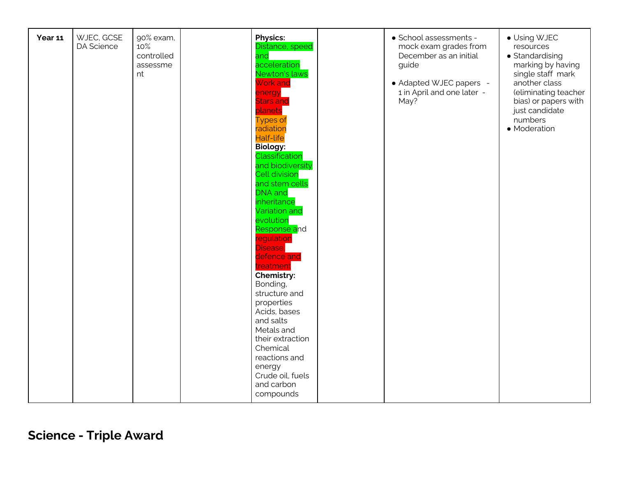| WJEC, GCSE<br><b>Physics:</b><br>Year 11<br>90% exam,<br>10%<br>DA Science<br>Distance, speed<br>controlled<br>and<br>acceleration<br>assessme<br>Newton's laws<br>nt<br><b>Work and</b><br>energy<br><b>Stars and</b><br>planets<br><b>Types of</b><br>radiation<br><b>Half-life</b><br><b>Biology:</b><br>Classification<br>and biodiversity<br><b>Cell division</b><br>and stem cells<br><b>DNA</b> and<br>inheritance<br>Variation and<br>evolution<br>Response and<br>regulation<br>Disease,<br>defence and<br>treatment<br>Chemistry:<br>Bonding,<br>structure and<br>properties<br>Acids, bases<br>and salts<br>Metals and<br>their extraction<br>Chemical<br>reactions and<br>energy<br>Crude oil, fuels<br>and carbon<br>compounds | · School assessments -<br>mock exam grades from<br>December as an initial<br>guide<br>• Adapted WJEC papers -<br>1 in April and one later -<br>May? | • Using WJEC<br>resources<br>• Standardising<br>marking by having<br>single staff mark<br>another class<br>(eliminating teacher<br>bias) or papers with<br>just candidate<br>numbers<br>• Moderation |
|---------------------------------------------------------------------------------------------------------------------------------------------------------------------------------------------------------------------------------------------------------------------------------------------------------------------------------------------------------------------------------------------------------------------------------------------------------------------------------------------------------------------------------------------------------------------------------------------------------------------------------------------------------------------------------------------------------------------------------------------|-----------------------------------------------------------------------------------------------------------------------------------------------------|------------------------------------------------------------------------------------------------------------------------------------------------------------------------------------------------------|
|---------------------------------------------------------------------------------------------------------------------------------------------------------------------------------------------------------------------------------------------------------------------------------------------------------------------------------------------------------------------------------------------------------------------------------------------------------------------------------------------------------------------------------------------------------------------------------------------------------------------------------------------------------------------------------------------------------------------------------------------|-----------------------------------------------------------------------------------------------------------------------------------------------------|------------------------------------------------------------------------------------------------------------------------------------------------------------------------------------------------------|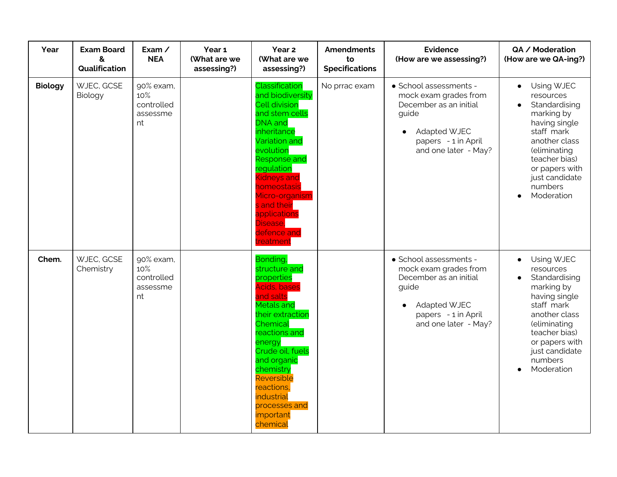| Year           | <b>Exam Board</b><br>&<br>Qualification | Exam /<br><b>NEA</b>                             | Year 1<br>(What are we<br>assessing?) | Year 2<br>(What are we<br>assessing?)                                                                                                                                                                                                                                                                         | <b>Amendments</b><br>to<br><b>Specifications</b> | <b>Evidence</b><br>(How are we assessing?)                                                                                                                            | QA / Moderation<br>(How are we QA-ing?)                                                                                                                                                                                        |
|----------------|-----------------------------------------|--------------------------------------------------|---------------------------------------|---------------------------------------------------------------------------------------------------------------------------------------------------------------------------------------------------------------------------------------------------------------------------------------------------------------|--------------------------------------------------|-----------------------------------------------------------------------------------------------------------------------------------------------------------------------|--------------------------------------------------------------------------------------------------------------------------------------------------------------------------------------------------------------------------------|
| <b>Biology</b> | WJEC, GCSE<br>Biology                   | 90% exam,<br>10%<br>controlled<br>assessme<br>nt |                                       | Classification<br>and biodiversity<br><b>Cell division</b><br>and stem cells<br><b>DNA</b> and<br>inheritance<br>Variation and<br>evolution<br><b>Response and</b><br>regulation<br>Kidneys and<br><u>nomeostasis</u><br>Micro-organism<br>s and their<br>applications<br>Disease,<br>defence and<br>reatment | No prrac exam                                    | · School assessments -<br>mock exam grades from<br>December as an initial<br>guide<br><b>Adapted WJEC</b><br>$\bullet$<br>papers - 1 in April<br>and one later - May? | Using WJEC<br>$\bullet$<br>resources<br>Standardising<br>$\bullet$<br>marking by<br>having single<br>staff mark<br>another class<br>(eliminating<br>teacher bias)<br>or papers with<br>just candidate<br>numbers<br>Moderation |
| Chem.          | WJEC, GCSE<br>Chemistry                 | 90% exam,<br>10%<br>controlled<br>assessme<br>nt |                                       | Bonding,<br>structure and<br>properties<br>Acids, bases<br>and salts<br><b>Metals and</b><br>their extraction<br>Chemical<br>reactions and<br>energy<br>Crude oil, fuels<br>and organic<br>chemistry<br>Reversible<br>reactions,<br>industrial<br>processes and<br>important<br>chemical                      |                                                  | · School assessments -<br>mock exam grades from<br>December as an initial<br>guide<br><b>Adapted WJEC</b><br>papers - 1 in April<br>and one later - May?              | Using WJEC<br>$\bullet$<br>resources<br>Standardising<br>$\bullet$<br>marking by<br>having single<br>staff mark<br>another class<br>(eliminating<br>teacher bias)<br>or papers with<br>just candidate<br>numbers<br>Moderation |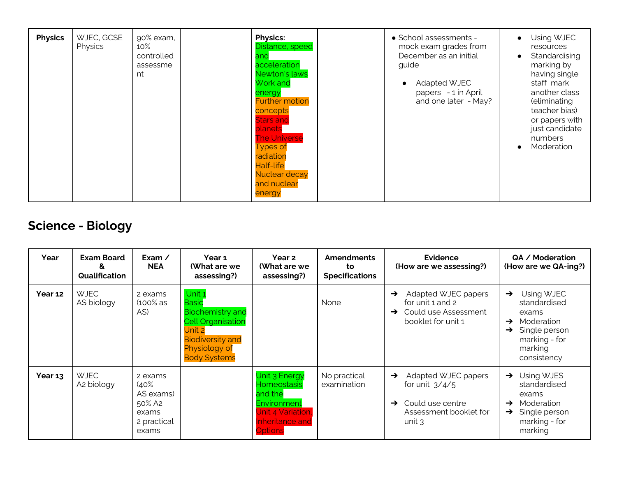| <b>Physics</b> | WJEC, GCSE<br>Physics | 90% exam,<br>10%<br>controlled<br>assessme<br>nt |  | <b>Physics:</b><br>Distance, speed<br>and<br>acceleration<br>Newton's laws<br>Work and<br>energy<br><b>Further motion</b><br>concepts<br><b>Stars and</b><br>planets<br><b>The Universe</b><br><b>Types of</b><br>radiation<br><b>Half-life</b><br>Nuclear decay<br>and nuclear<br>energy |  | • School assessments -<br>mock exam grades from<br>December as an initial<br>guide<br><b>Adapted WJEC</b><br>papers - 1 in April<br>and one later - May? | Using WJEC<br>$\bullet$<br>resources<br>Standardising<br>$\bullet$<br>marking by<br>having single<br>staff mark<br>another class<br>(eliminating<br>teacher bias)<br>or papers with<br>just candidate<br>numbers<br>Moderation<br>$\bullet$ |
|----------------|-----------------------|--------------------------------------------------|--|-------------------------------------------------------------------------------------------------------------------------------------------------------------------------------------------------------------------------------------------------------------------------------------------|--|----------------------------------------------------------------------------------------------------------------------------------------------------------|---------------------------------------------------------------------------------------------------------------------------------------------------------------------------------------------------------------------------------------------|
|----------------|-----------------------|--------------------------------------------------|--|-------------------------------------------------------------------------------------------------------------------------------------------------------------------------------------------------------------------------------------------------------------------------------------------|--|----------------------------------------------------------------------------------------------------------------------------------------------------------|---------------------------------------------------------------------------------------------------------------------------------------------------------------------------------------------------------------------------------------------|

## **Science - Biology**

| Year    | <b>Exam Board</b><br>&<br><b>Qualification</b> | Exam $\angle$<br><b>NEA</b>                                             | Year 1<br>(What are we<br>assessing?)                                                                                                                      | Year 2<br>(What are we<br>assessing?)                                                                                   | <b>Amendments</b><br>to<br><b>Specifications</b> | Evidence<br>(How are we assessing?)                                                                                                           | QA / Moderation<br>(How are we QA-ing?)                                                                                                                          |
|---------|------------------------------------------------|-------------------------------------------------------------------------|------------------------------------------------------------------------------------------------------------------------------------------------------------|-------------------------------------------------------------------------------------------------------------------------|--------------------------------------------------|-----------------------------------------------------------------------------------------------------------------------------------------------|------------------------------------------------------------------------------------------------------------------------------------------------------------------|
| Year 12 | <b>WJEC</b><br>AS biology                      | 2 exams<br>$(100\%$ as<br>AS)                                           | Unit 1<br><b>Basic</b><br><b>Biochemistry</b> and<br><b>Cell Organisation</b><br>Unit 2<br><b>Biodiversity and</b><br>Physiology of<br><b>Body Systems</b> |                                                                                                                         | None                                             | Adapted WJEC papers<br>$\rightarrow$<br>for unit 1 and 2<br>Could use Assessment<br>→<br>booklet for unit 1                                   | Using WJEC<br>$\rightarrow$<br>standardised<br>exams<br>Moderation<br>$\rightarrow$<br>Single person<br>$\rightarrow$<br>marking - for<br>marking<br>consistency |
| Year 13 | <b>WJEC</b><br>A2 biology                      | 2 exams<br>(40%<br>AS exams)<br>50% A2<br>exams<br>2 practical<br>exams |                                                                                                                                                            | Unit 3 Energy<br><b>Homeostasis</b><br>and the<br>Environment<br>Jnit 4 Variation,<br>Inheritance and<br><b>Options</b> | No practical<br>examination                      | Adapted WJEC papers<br>$\rightarrow$<br>for unit $3/4/5$<br>Could use centre<br>$\rightarrow$<br>Assessment booklet for<br>unit $\mathcal{R}$ | $\rightarrow$ Using WJES<br>standardised<br>exams<br>Moderation<br>$\rightarrow$<br>Single person<br>$\rightarrow$<br>marking - for<br>marking                   |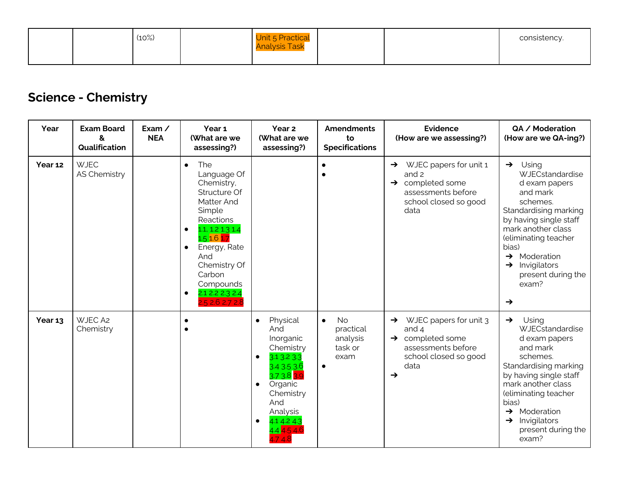|  | (10%) | Unit 5 Practical<br><b>Analysis Task</b> |  | consistency. |
|--|-------|------------------------------------------|--|--------------|
|  |       |                                          |  |              |

## **Science - Chemistry**

| Year    | <b>Exam Board</b><br>&<br>Qualification | Exam /<br><b>NEA</b> | Year 1<br>(What are we<br>assessing?)                                                                                                                                                                                                                                         | Year <sub>2</sub><br>(What are we<br>assessing?)                                                                                                                                                              | <b>Amendments</b><br>to<br><b>Specifications</b>                                | <b>Evidence</b><br>(How are we assessing?)                                                                                                     | QA / Moderation<br>(How are we QA-ing?)                                                                                                                                                                                                                                                                |
|---------|-----------------------------------------|----------------------|-------------------------------------------------------------------------------------------------------------------------------------------------------------------------------------------------------------------------------------------------------------------------------|---------------------------------------------------------------------------------------------------------------------------------------------------------------------------------------------------------------|---------------------------------------------------------------------------------|------------------------------------------------------------------------------------------------------------------------------------------------|--------------------------------------------------------------------------------------------------------------------------------------------------------------------------------------------------------------------------------------------------------------------------------------------------------|
| Year 12 | <b>WJEC</b><br><b>AS Chemistry</b>      |                      | The<br>$\bullet$<br>Language Of<br>Chemistry,<br>Structure Of<br>Matter And<br>Simple<br>Reactions<br>1.1, 1.2 1.3 1.4<br>$\bullet$<br>1.5 1.6 1.7<br>Energy, Rate<br>$\bullet$<br>And<br>Chemistry Of<br>Carbon<br>Compounds<br>2.1 2.2 2.3 2.4<br>$\bullet$<br>2.52.62.72.8 |                                                                                                                                                                                                               |                                                                                 | WJEC papers for unit 1<br>$\rightarrow$<br>and 2<br>$\rightarrow$ completed some<br>assessments before<br>school closed so good<br>data        | $\rightarrow$ Using<br>WJECstandardise<br>d exam papers<br>and mark<br>schemes.<br>Standardising marking<br>by having single staff<br>mark another class<br>(eliminating teacher<br>bias)<br>$\rightarrow$ Moderation<br>Invigilators<br>$\rightarrow$<br>present during the<br>exam?<br>$\rightarrow$ |
| Year 13 | WJEC A2<br>Chemistry                    |                      |                                                                                                                                                                                                                                                                               | Physical<br>$\bullet$<br>And<br>Inorganic<br>Chemistry<br>3.1 3.2 3.3<br>$\bullet$<br>3.4 3.5 3.6<br>3.73.83.9<br>Organic<br>$\bullet$<br>Chemistry<br>And<br>Analysis<br>4.1 4.2 4.3<br>$\bullet$<br>4.44.54 | <b>No</b><br>$\bullet$<br>practical<br>analysis<br>task or<br>exam<br>$\bullet$ | WJEC papers for unit 3<br>$\rightarrow$<br>and $4$<br>$\rightarrow$ completed some<br>assessments before<br>school closed so good<br>data<br>→ | $\rightarrow$<br>Using<br>WJECstandardise<br>d exam papers<br>and mark<br>schemes.<br>Standardising marking<br>by having single staff<br>mark another class<br>(eliminating teacher<br>bias)<br>$\rightarrow$ Moderation<br>$\rightarrow$ Invigilators<br>present during the<br>exam?                  |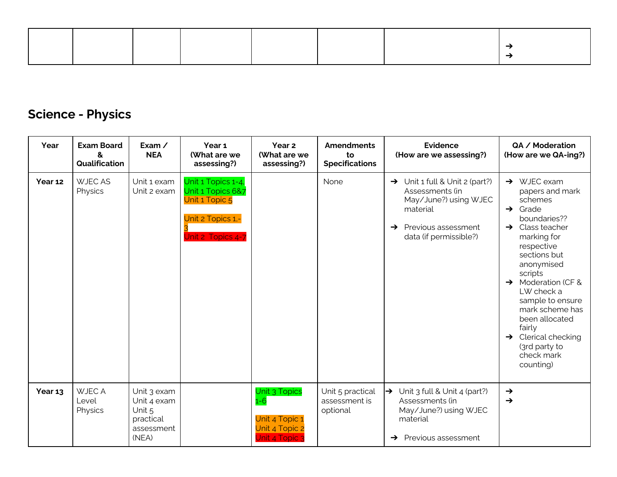## **Science - Physics**

| Year    | <b>Exam Board</b><br>&<br>Qualification | Exam $\angle$<br><b>NEA</b>                                              | Year 1<br>(What are we<br>assessing?)                                                               | Year 2<br>(What are we<br>assessing?)                                          | <b>Amendments</b><br>to<br><b>Specifications</b> | <b>Evidence</b><br>(How are we assessing?)                                                                                                                           | QA / Moderation<br>(How are we QA-ing?)                                                                                                                                                                                                                                                                                                                                                             |
|---------|-----------------------------------------|--------------------------------------------------------------------------|-----------------------------------------------------------------------------------------------------|--------------------------------------------------------------------------------|--------------------------------------------------|----------------------------------------------------------------------------------------------------------------------------------------------------------------------|-----------------------------------------------------------------------------------------------------------------------------------------------------------------------------------------------------------------------------------------------------------------------------------------------------------------------------------------------------------------------------------------------------|
| Year 12 | <b>WJEC AS</b><br>Physics               | Unit 1 exam<br>Unit 2 exam                                               | Unit 1 Topics 1-4,<br>Unit 1 Topics 6&7<br>Unit 1 Topic 5<br>Unit 2 Topics 1,-<br>Unit 2 Topics 4-7 |                                                                                | None                                             | $\rightarrow$ Unit 1 full & Unit 2 (part?)<br>Assessments (in<br>May/June?) using WJEC<br>material<br>Previous assessment<br>$\rightarrow$<br>data (if permissible?) | $\rightarrow$ WJEC exam<br>papers and mark<br>schemes<br>$\rightarrow$ Grade<br>boundaries??<br>$\rightarrow$ Class teacher<br>marking for<br>respective<br>sections but<br>anonymised<br>scripts<br>$\rightarrow$ Moderation (CF &<br>LW check a<br>sample to ensure<br>mark scheme has<br>been allocated<br>fairly<br>$\rightarrow$ Clerical checking<br>(3rd party to<br>check mark<br>counting) |
| Year 13 | <b>WJEC A</b><br>Level<br>Physics       | Unit 3 exam<br>Unit 4 exam<br>Unit 5<br>practical<br>assessment<br>(NEA) |                                                                                                     | Unit 3 Topics<br>$1 - 6$<br>Unit 4 Topic 1<br>Unit 4 Topic 2<br>Unit 4 Topic 3 | Unit 5 practical<br>assessment is<br>optional    | $\rightarrow$ Unit 3 full & Unit 4 (part?)<br>Assessments (in<br>May/June?) using WJEC<br>material<br>Previous assessment<br>→                                       | $\rightarrow$<br>$\rightarrow$                                                                                                                                                                                                                                                                                                                                                                      |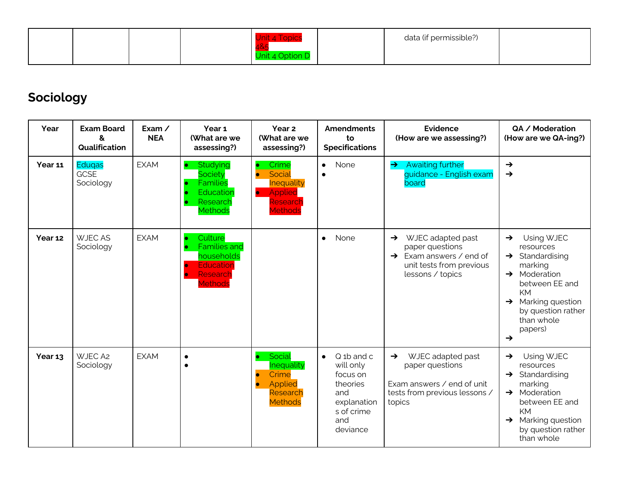|  |  |  | data (if permissible?) |  |
|--|--|--|------------------------|--|
|  |  |  |                        |  |

## **Sociology**

| Year    | <b>Exam Board</b><br>8<br>Qualification   | Exam $\angle$<br><b>NEA</b> | Year 1<br>(What are we<br>assessing?)                                                                 | Year 2<br>(What are we<br>assessing?)                                                                                       | <b>Amendments</b><br>to<br><b>Specifications</b>                                                                                | <b>Evidence</b><br>(How are we assessing?)                                                                                                   | QA / Moderation<br>(How are we QA-ing?)                                                                                                                                                                                                                  |
|---------|-------------------------------------------|-----------------------------|-------------------------------------------------------------------------------------------------------|-----------------------------------------------------------------------------------------------------------------------------|---------------------------------------------------------------------------------------------------------------------------------|----------------------------------------------------------------------------------------------------------------------------------------------|----------------------------------------------------------------------------------------------------------------------------------------------------------------------------------------------------------------------------------------------------------|
| Year 11 | <b>Edugas</b><br><b>GCSE</b><br>Sociology | <b>EXAM</b>                 | Studying<br>$\bullet$<br><b>Society</b><br><b>Families</b><br>Education<br>Research<br><b>Methods</b> | Crime<br>$\bullet$<br>Social<br>$\bullet$<br><b>Inequality</b><br>Applied<br>$\bullet$<br>Research<br><b>Methods</b>        | None<br>$\bullet$<br>$\bullet$                                                                                                  | <b>Awaiting further</b><br>$\rightarrow$<br>guidance - English exam<br>board                                                                 | $\rightarrow$<br>$\rightarrow$                                                                                                                                                                                                                           |
| Year 12 | <b>WJECAS</b><br>Sociology                | <b>EXAM</b>                 | Culture<br><b>Families and</b><br>households<br>Education<br>Research<br><b>Methods</b>               |                                                                                                                             | None<br>$\bullet$                                                                                                               | WJEC adapted past<br>$\rightarrow$<br>paper questions<br>$\rightarrow$ Exam answers / end of<br>unit tests from previous<br>lessons / topics | Using WJEC<br>$\rightarrow$<br>resources<br>Standardising<br>$\rightarrow$<br>marking<br>Moderation<br>$\rightarrow$<br>between EE and<br><b>KM</b><br>Marking question<br>$\rightarrow$<br>by question rather<br>than whole<br>papers)<br>$\rightarrow$ |
| Year 13 | WJEC A2<br>Sociology                      | <b>EXAM</b>                 | $\bullet$<br>$\bullet$                                                                                | Social<br>$\bullet$<br><b>Inequality</b><br>Crime<br>$\bullet$<br><b>Applied</b><br>$\bullet$<br>Research<br><b>Methods</b> | Q <sub>1</sub> b and c<br>$\bullet$<br>will only<br>focus on<br>theories<br>and<br>explanation<br>s of crime<br>and<br>deviance | WJEC adapted past<br>$\rightarrow$<br>paper questions<br>Exam answers / end of unit<br>tests from previous lessons /<br>topics               | Using WJEC<br>$\rightarrow$<br>resources<br>Standardising<br>$\rightarrow$<br>marking<br>$\rightarrow$ Moderation<br>between EE and<br>KM<br>Marking question<br>$\rightarrow$<br>by question rather<br>than whole                                       |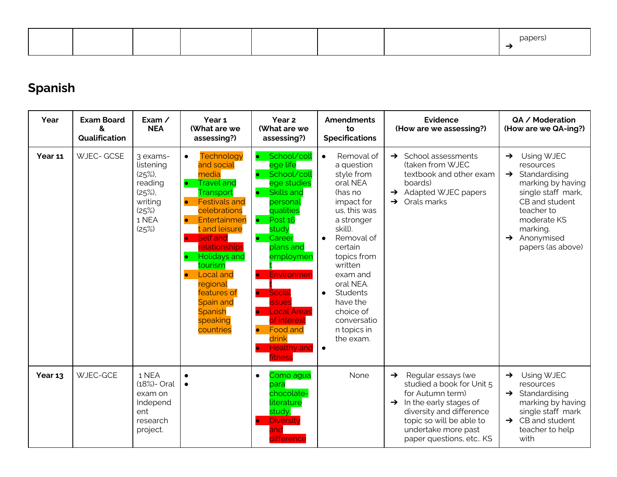|  |  |  |  | $-$<br>۲۱ ت<br>. |
|--|--|--|--|------------------|
|  |  |  |  |                  |

## **Spanish**

| Year    | <b>Exam Board</b><br>&<br>Qualification | Exam $\angle$<br><b>NEA</b>                                                              | Year <sub>1</sub><br>(What are we<br>assessing?)                                                                                                                                                                                                                                                                                                                                                               | Year <sub>2</sub><br>(What are we<br>assessing?)                                                                                                                                                                                                                                                                                                                                                                             | <b>Amendments</b><br>to<br><b>Specifications</b>                                                                                                                                                                                                                                                                                     | <b>Evidence</b><br>(How are we assessing?)                                                                                                                                                                                             | QA / Moderation<br>(How are we QA-ing?)                                                                                                                                                                                        |
|---------|-----------------------------------------|------------------------------------------------------------------------------------------|----------------------------------------------------------------------------------------------------------------------------------------------------------------------------------------------------------------------------------------------------------------------------------------------------------------------------------------------------------------------------------------------------------------|------------------------------------------------------------------------------------------------------------------------------------------------------------------------------------------------------------------------------------------------------------------------------------------------------------------------------------------------------------------------------------------------------------------------------|--------------------------------------------------------------------------------------------------------------------------------------------------------------------------------------------------------------------------------------------------------------------------------------------------------------------------------------|----------------------------------------------------------------------------------------------------------------------------------------------------------------------------------------------------------------------------------------|--------------------------------------------------------------------------------------------------------------------------------------------------------------------------------------------------------------------------------|
| Year 11 | <b>WJEC- GCSE</b>                       | 3 exams-<br>listening<br>(25%)<br>reading<br>(25%)<br>writing<br>(25%)<br>1 NEA<br>(25%) | Technology<br>$\bullet$<br>and social<br>media<br><b>Travel and</b><br>$\bullet$<br>Transport<br><b>Festivals and</b><br>$\bullet$<br>celebrations<br>Entertainmen<br>$\bullet$<br>t and leisure<br>Self and<br>$\bullet$<br><u>relationships</u><br><b>Holidays and</b><br>tourism<br><b>Local and</b><br>$\bullet$<br>regional<br>features of<br><b>Spain and</b><br><b>Spanish</b><br>speaking<br>countries | School/coll<br>$\bullet$<br>ege life<br>School/coll<br>$\bullet$<br>ege studies<br><b>Skills and</b><br>$\bullet$<br>personal<br>qualities<br>$\bullet$ Post 16<br>study<br>$\bullet$<br>Career<br>plans and<br>employmen<br>Environmer<br>$\bullet$<br>Social<br>$\bullet$<br>ssues<br><b>Local Areas</b><br>$\bullet$<br>of interest<br><b>Food and</b><br>$\bullet$<br>drink<br><b>Healthy and</b><br><b>D</b><br>fitness | Removal of<br>$\bullet$<br>a question<br>style from<br>oral NEA<br>(has no<br>impact for<br>us, this was<br>a stronger<br>skill).<br>Removal of<br>$\bullet$<br>certain<br>topics from<br>written<br>exam and<br>oral NEA.<br>Students<br>$\bullet$<br>have the<br>choice of<br>conversatio<br>n topics in<br>the exam.<br>$\bullet$ | School assessments<br>$\rightarrow$<br>(taken from WJEC<br>textbook and other exam<br>boards)<br>$\rightarrow$ Adapted WJEC papers<br>$\rightarrow$ Orals marks                                                                        | Using WJEC<br>$\rightarrow$<br>resources<br>$\rightarrow$ Standardising<br>marking by having<br>single staff mark,<br>CB and student<br>teacher to<br>moderate KS<br>marking.<br>$\rightarrow$ Anonymised<br>papers (as above) |
| Year 13 | WJEC-GCE                                | 1 NEA<br>(18%)- Oral<br>exam on<br>Independ<br>ent<br>research<br>project.               | $\bullet$<br>$\bullet$                                                                                                                                                                                                                                                                                                                                                                                         | Como agua<br>$\bullet$<br>para<br>chocolate-<br>literature<br>study.<br><b>Diversity</b><br>$\bullet$<br>and<br>difference                                                                                                                                                                                                                                                                                                   | None                                                                                                                                                                                                                                                                                                                                 | Regular essays (we<br>$\rightarrow$<br>studied a book for Unit 5<br>for Autumn term)<br>$\rightarrow$ In the early stages of<br>diversity and difference<br>topic so will be able to<br>undertake more past<br>paper questions, etc KS | Using WJEC<br>$\rightarrow$<br>resources<br>$\rightarrow$ Standardising<br>marking by having<br>single staff mark<br>$\rightarrow$ CB and student<br>teacher to help<br>with                                                   |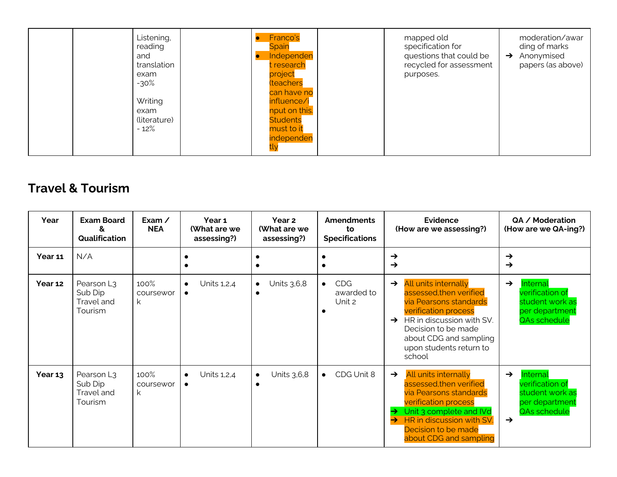| reading<br>and<br>exam<br>$-30\%$<br>Writing<br>exam<br>$-12%$ | Listening,<br>translation<br>(literature) | Franco's<br><b>Spain</b><br>Independen<br>t research<br>project<br><b>(teachers</b><br>can have no<br>influence/i<br>nput on this.<br><b>Students</b><br>must to it<br>independen | mapped old<br>specification for<br>questions that could be<br>recycled for assessment<br>purposes. | moderation/awar<br>ding of marks<br>$\rightarrow$ Anonymised<br>papers (as above) |
|----------------------------------------------------------------|-------------------------------------------|-----------------------------------------------------------------------------------------------------------------------------------------------------------------------------------|----------------------------------------------------------------------------------------------------|-----------------------------------------------------------------------------------|
|----------------------------------------------------------------|-------------------------------------------|-----------------------------------------------------------------------------------------------------------------------------------------------------------------------------------|----------------------------------------------------------------------------------------------------|-----------------------------------------------------------------------------------|

### **Travel & Tourism**

| Year    | <b>Exam Board</b><br>&<br>Qualification                    | Exam /<br><b>NEA</b>    | Year 1<br>(What are we<br>assessing?) | Year 2<br>(What are we<br>assessing?) | <b>Amendments</b><br>to<br><b>Specifications</b> | <b>Evidence</b><br>(How are we assessing?)                                                                                                                                                                                                                   | QA / Moderation<br>(How are we QA-ing?)                                                                            |
|---------|------------------------------------------------------------|-------------------------|---------------------------------------|---------------------------------------|--------------------------------------------------|--------------------------------------------------------------------------------------------------------------------------------------------------------------------------------------------------------------------------------------------------------------|--------------------------------------------------------------------------------------------------------------------|
| Year 11 | N/A                                                        |                         |                                       |                                       |                                                  | $\rightarrow$<br>$\rightarrow$                                                                                                                                                                                                                               | $\rightarrow$<br>$\rightarrow$                                                                                     |
| Year 12 | Pearson L <sub>3</sub><br>Sub Dip<br>Travel and<br>Tourism | 100%<br>coursewor<br>k  | Units 1,2,4<br>$\bullet$<br>$\bullet$ | Units 3,6,8<br>$\bullet$              | <b>CDG</b><br>$\bullet$<br>awarded to<br>Unit 2  | All units internally<br>$\rightarrow$<br>assessed.then verified<br>via Pearsons standards<br><b>verification process</b><br>HR in discussion with SV.<br>$\rightarrow$<br>Decision to be made<br>about CDG and sampling<br>upon students return to<br>school | Internal<br>$\rightarrow$<br>verification of<br>student work as<br>per department<br>QAs schedule                  |
| Year 13 | Pearson L3<br>Sub Dip<br>Travel and<br>Tourism             | 100%<br>coursewor<br>k. | Units 1,2,4                           | Units 3,6,8<br>$\bullet$              | CDG Unit 8<br>$\bullet$                          | All units internally<br>$\rightarrow$<br>assessed, then verified<br>via Pearsons standards<br><b>verification process</b><br>Unit 3 complete and IVd<br>$\rightarrow$<br>HR in discussion with SV.<br>→<br>Decision to be made<br>about CDG and sampling     | Internal<br>$\rightarrow$<br>verification of<br>student work as<br>per department<br>QAs schedule<br>$\rightarrow$ |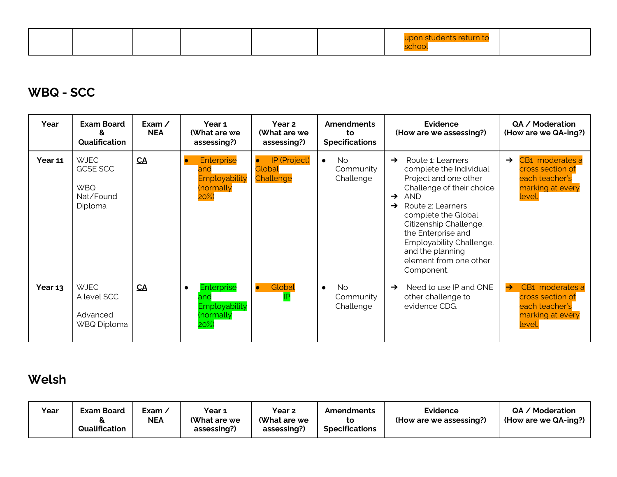|--|--|

### **WBQ - SCC**

| Year    | <b>Exam Board</b><br>&<br>Qualification                              | Exam $\angle$<br><b>NEA</b> | Year 1<br>(What are we<br>assessing?)                                   | Year <sub>2</sub><br>(What are we<br>assessing?) | <b>Amendments</b><br>to<br><b>Specifications</b>      | Evidence<br>(How are we assessing?)                                                                                                                                                                                                                                                                                                                     | QA / Moderation<br>(How are we QA-ing?)                                                              |
|---------|----------------------------------------------------------------------|-----------------------------|-------------------------------------------------------------------------|--------------------------------------------------|-------------------------------------------------------|---------------------------------------------------------------------------------------------------------------------------------------------------------------------------------------------------------------------------------------------------------------------------------------------------------------------------------------------------------|------------------------------------------------------------------------------------------------------|
| Year 11 | <b>WJEC</b><br><b>GCSE SCC</b><br><b>WBQ</b><br>Nat/Found<br>Diploma | CA                          | Enterprise<br>$\bullet$<br>and<br>Employability<br>(normally<br>$20\%)$ | IP (Project)<br>$\bullet$<br>Global<br>Challenge | N <sub>o</sub><br>$\bullet$<br>Community<br>Challenge | Route 1: Learners<br>$\rightarrow$<br>complete the Individual<br>Project and one other<br>Challenge of their choice<br><b>AND</b><br>$\rightarrow$<br>Route 2: Learners<br>$\rightarrow$<br>complete the Global<br>Citizenship Challenge,<br>the Enterprise and<br>Employability Challenge,<br>and the planning<br>element from one other<br>Component. | CB1 moderates a<br>$\rightarrow$<br>cross section of<br>each teacher's<br>marking at every<br>level. |
| Year 13 | <b>WJEC</b><br>A level SCC<br>Advanced<br>WBQ Diploma                | CA                          | <b>Enterprise</b><br>and<br>Employability<br>(normally<br>$20\%)$       | Global<br>$\bullet$<br><b>IP</b>                 | N <sub>o</sub><br>$\bullet$<br>Community<br>Challenge | Need to use IP and ONE<br>$\rightarrow$<br>other challenge to<br>evidence CDG.                                                                                                                                                                                                                                                                          | CB1 moderates a<br>$\rightarrow$<br>cross section of<br>each teacher's<br>marking at every<br>level. |

## **Welsh**

| Year | <b>Exam Board</b><br>Qualification | Exam ∕<br>NEA | Year 1<br>(What are we<br>assessing?) | Year <sub>2</sub><br>(What are we<br>assessing?) | Amendments<br><b>Specifications</b> | Evidence<br>(How are we assessing?) | QA / Moderation<br>(How are we QA-ing?) |
|------|------------------------------------|---------------|---------------------------------------|--------------------------------------------------|-------------------------------------|-------------------------------------|-----------------------------------------|
|------|------------------------------------|---------------|---------------------------------------|--------------------------------------------------|-------------------------------------|-------------------------------------|-----------------------------------------|